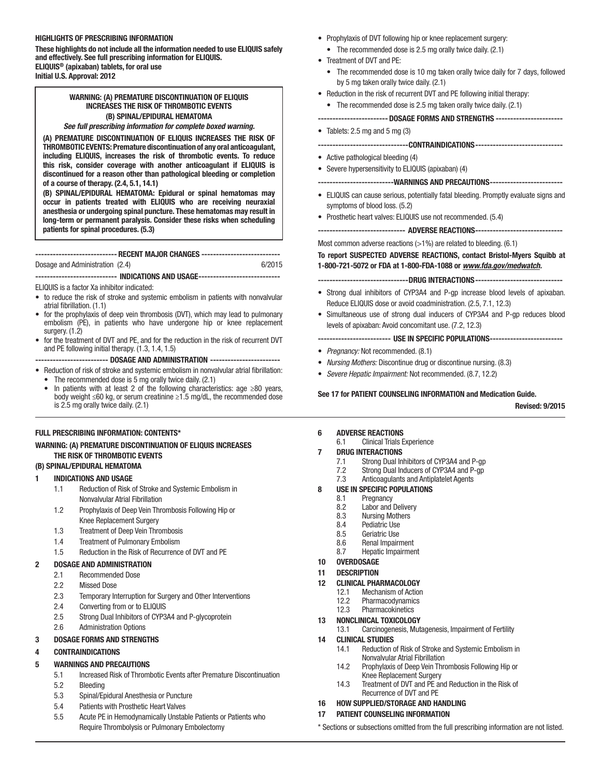### HIGHLIGHTS OF PRESCRIBING INFORMATION

These highlights do not include all the information needed to use ELIQUIS safely and effectively. See full prescribing information for ELIQUIS. ELIQUIS® (apixaban) tablets, for oral use Initial U.S. Approval: 2012

# WARNING: (A) PREMATURE DISCONTINUATION OF ELIQUIS INCREASES THE RISK OF THROMBOTIC EVENTS (B) SPINAL/EPIDURAL HEMATOMA

#### *See full prescribing information for complete boxed warning.*

(A) PREMATURE DISCONTINUATION OF ELIQUIS INCREASES THE RISK OF THROMBOTIC EVENTS: Premature discontinuation of any oral anticoagulant, including ELIQUIS, increases the risk of thrombotic events. To reduce this risk, consider coverage with another anticoagulant if ELIQUIS is discontinued for a reason other than pathological bleeding or completion of a course of therapy. (2.4, 5.1, 14.1)

(B) SPINAL/EPIDURAL HEMATOMA: Epidural or spinal hematomas may occur in patients treated with ELIQUIS who are receiving neuraxial anesthesia or undergoing spinal puncture. These hematomas may result in long-term or permanent paralysis. Consider these risks when scheduling patients for spinal procedures. (5.3)

### ---------------------------- RECENT MAJOR CHANGES ---------------------------

#### Dosage and Administration (2.4) 6/2015

---------------------------- INDICATIONS AND USAGE------------------------------

#### ELIQUIS is a factor Xa inhibitor indicated:

- to reduce the risk of stroke and systemic embolism in patients with nonvalvular atrial fibrillation. (1.1)
- for the prophylaxis of deep vein thrombosis (DVT), which may lead to pulmonary embolism (PE), in patients who have undergone hip or knee replacement surgery. (1.2)
- for the treatment of DVT and PE, and for the reduction in the risk of recurrent DVT and PE following initial therapy. (1.3, 1.4, 1.5)

------------------------- DOSAGE AND ADMINISTRATION ------------------------

- Reduction of risk of stroke and systemic embolism in nonvalvular atrial fibrillation: • The recommended dose is 5 mg orally twice daily. (2.1)
- 
- In patients with at least 2 of the following characteristics: age ≥80 years, body weight ≤60 kg, or serum creatinine ≥1.5 mg/dL, the recommended dose is 2.5 mg orally twice daily. (2.1)

### FULL PRESCRIBING INFORMATION: CONTENTS\*

### WARNING: (A) PREMATURE DISCONTINUATION OF ELIQUIS INCREASES THE RISK OF THROMBOTIC EVENTS

#### (B) SPINAL/EPIDURAL HEMATOMA

#### 1 INDICATIONS AND USAGE

- 1.1 Reduction of Risk of Stroke and Systemic Embolism in Nonvalvular Atrial Fibrillation
- 1.2 Prophylaxis of Deep Vein Thrombosis Following Hip or Knee Replacement Surgery
- 1.3 Treatment of Deep Vein Thrombosis
- 1.4 Treatment of Pulmonary Embolism
- 1.5 Reduction in the Risk of Recurrence of DVT and PE

#### 2 DOSAGE AND ADMINISTRATION

- 2.1 Recommended Dose
- 2.2 Missed Dose
- 2.3 Temporary Interruption for Surgery and Other Interventions
- 2.4 Converting from or to ELIQUIS
- 2.5 Strong Dual Inhibitors of CYP3A4 and P-glycoprotein
- 2.6 Administration Options

#### 3 DOSAGE FORMS AND STRENGTHS

### 4 CONTRAINDICATIONS

#### 5 WARNINGS AND PRECAUTIONS

- 5.1 Increased Risk of Thrombotic Events after Premature Discontinuation 5.2 Bleeding
- 5.3 Spinal/Epidural Anesthesia or Puncture
- 5.4 Patients with Prosthetic Heart Valves
- 5.5 Acute PE in Hemodynamically Unstable Patients or Patients who Require Thrombolysis or Pulmonary Embolectomy
- Prophylaxis of DVT following hip or knee replacement surgery: • The recommended dose is 2.5 mg orally twice daily. (2.1)
- Treatment of DVT and PE:
	- The recommended dose is 10 mg taken orally twice daily for 7 days, followed by 5 mg taken orally twice daily. (2.1)
- Reduction in the risk of recurrent DVT and PE following initial therapy:
	- The recommended dose is 2.5 mg taken orally twice daily. (2.1)

# ------------------------DOSAGE FORMS AND STRENGTHS ----------------------- • Tablets: 2.5 mg and 5 mg (3) -------------------------------CONTRAINDICATIONS------------------------------ • Active pathological bleeding (4) • Severe hypersensitivity to ELIQUIS (apixaban) (4) --------------------------WARNINGS AND PRECAUTIONS------------------------- • ELIQUIS can cause serious, potentially fatal bleeding. Promptly evaluate signs and symptoms of blood loss. (5.2) • Prosthetic heart valves: ELIQUIS use not recommended. (5.4) ------------------------------- ADVERSE REACTIONS-------------------------------Most common adverse reactions  $(>1%)$  are related to bleeding.  $(6.1)$ To report SUSPECTED ADVERSE REACTIONS, contact Bristol-Myers Squibb at 1-800-721-5072 or FDA at 1-800-FDA-1088 or *www.fda.gov/medwatch.*

- ---DRUG INTERACTIONS--
- Strong dual inhibitors of CYP3A4 and P-gp increase blood levels of apixaban. Reduce ELIQUIS dose or avoid coadministration. (2.5, 7.1, 12.3)
- Simultaneous use of strong dual inducers of CYP3A4 and P-gp reduces blood levels of apixaban: Avoid concomitant use. (7.2, 12.3)

#### ------------------------- USE IN SPECIFIC POPULATIONS-------------------------

- *Pregnancy:* Not recommended. (8.1)
- *Nursing Mothers:* Discontinue drug or discontinue nursing. (8.3)
- *Severe Hepatic Impairment:* Not recommended. (8.7, 12.2)

# See 17 for PATIENT COUNSELING INFORMATION and Medication Guide.

Revised: 9/2015

### 6 ADVERSE REACTIONS

6.1 Clinical Trials Experience

# 7 DRUG INTERACTIONS

- 7.1 Strong Dual Inhibitors of CYP3A4 and P-gp
- 7.2 Strong Dual Inducers of CYP3A4 and P-gp
- 7.3 Anticoagulants and Antiplatelet Agents

# 8 USE IN SPECIFIC POPULATIONS

- 8.1 Pregnancy<br>8.2 Labor and
- 8.2 Labor and Delivery<br>8.3 Nursing Mothers
- **Nursing Mothers**
- 8.4 Pediatric Use<br>8.5 Geriatric Use
- Geriatric Use
- 8.6 Renal Impairment<br>8.7 Hepatic Impairmer
- Hepatic Impairment
- 10 OVERDOSAGE

# 11 DESCRIPTION

- 12 CLINICAL PHARMACOLOGY
	- 12.1 Mechanism of Action
		- 12.2 Pharmacodynamics
	- 12.3 Pharmacokinetics

# 13 NONCLINICAL TOXICOLOGY<br>13.1 Carcinogenesis Mut

Carcinogenesis, Mutagenesis, Impairment of Fertility

# 14 CLINICAL STUDIES

- 14.1 Reduction of Risk of Stroke and Systemic Embolism in Nonvalvular Atrial Fibrillation
- 14.2 Prophylaxis of Deep Vein Thrombosis Following Hip or Knee Replacement Surgery
- 14.3 Treatment of DVT and PE and Reduction in the Risk of Recurrence of DVT and PE

# 16 HOW SUPPLIED/STORAGE AND HANDLING

# 17 PATIENT COUNSELING INFORMATION

\* Sections or subsections omitted from the full prescribing information are not listed.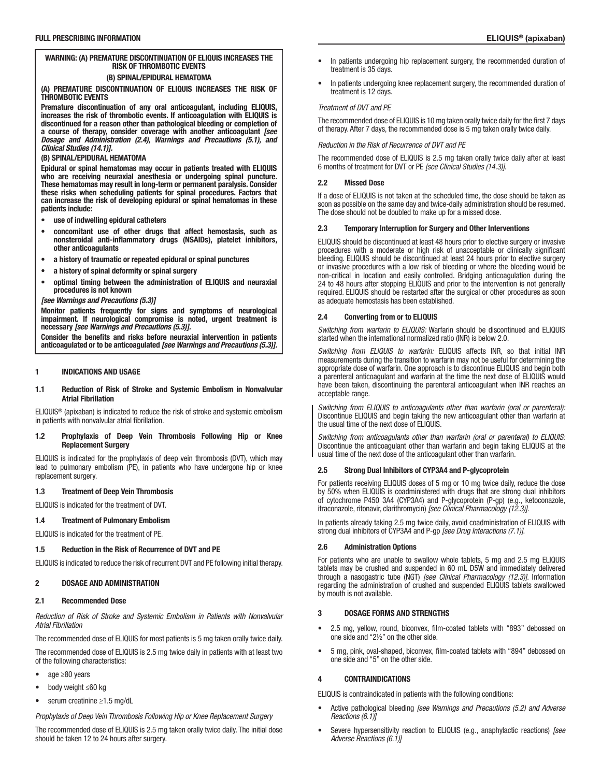#### (B) SPINAL/EPIDURAL HEMATOMA

(A) PREMATURE DISCONTINUATION OF ELIQUIS INCREASES THE RISK OF THROMBOTIC EVENTS

Premature discontinuation of any oral anticoagulant, including ELIQUIS, increases the risk of thrombotic events. If anticoagulation with ELIQUIS is discontinued for a reason other than pathological bleeding or completion of a course of therapy, consider coverage with another anticoagulant *[see Dosage and Administration (2.4), Warnings and Precautions (5.1), and Clinical Studies (14.1)].*

### (B) SPINAL/EPIDURAL HEMATOMA

Epidural or spinal hematomas may occur in patients treated with ELIQUIS who are receiving neuraxial anesthesia or undergoing spinal puncture. These hematomas may result in long-term or permanent paralysis. Consider these risks when scheduling patients for spinal procedures. Factors that can increase the risk of developing epidural or spinal hematomas in these patients include:

- use of indwelling epidural catheters
- concomitant use of other drugs that affect hemostasis, such as nonsteroidal anti-inflammatory drugs (NSAIDs), platelet inhibitors, other anticoagulants
- a history of traumatic or repeated epidural or spinal punctures
- a history of spinal deformity or spinal surgery
- optimal timing between the administration of ELIQUIS and neuraxial procedures is not known

#### *[see Warnings and Precautions (5.3)]*

Monitor patients frequently for signs and symptoms of neurological impairment. If neurological compromise is noted, urgent treatment is necessary *[see Warnings and Precautions (5.3)].*

Consider the benefits and risks before neuraxial intervention in patients anticoagulated or to be anticoagulated *[see Warnings and Precautions (5.3)].*

#### 1 INDICATIONS AND USAGE

#### 1.1 Reduction of Risk of Stroke and Systemic Embolism in Nonvalvular Atrial Fibrillation

ELIQUIS® (apixaban) is indicated to reduce the risk of stroke and systemic embolism in patients with nonvalvular atrial fibrillation.

#### 1.2 Prophylaxis of Deep Vein Thrombosis Following Hip or Knee Replacement Surgery

ELIQUIS is indicated for the prophylaxis of deep vein thrombosis (DVT), which may lead to pulmonary embolism (PE), in patients who have undergone hip or knee replacement surgery.

#### 1.3 Treatment of Deep Vein Thrombosis

ELIQUIS is indicated for the treatment of DVT.

## 1.4 Treatment of Pulmonary Embolism

ELIQUIS is indicated for the treatment of PE.

# 1.5 Reduction in the Risk of Recurrence of DVT and PE

ELIQUIS is indicated to reduce the risk of recurrent DVT and PE following initial therapy.

## 2 DOSAGE AND ADMINISTRATION

### 2.1 Recommended Dose

*Reduction of Risk of Stroke and Systemic Embolism in Patients with Nonvalvular Atrial Fibrillation*

The recommended dose of ELIQUIS for most patients is 5 mg taken orally twice daily.

The recommended dose of ELIQUIS is 2.5 mg twice daily in patients with at least two of the following characteristics:

- age ≥80 years
- body weight ≤60 kg
- serum creatinine ≥1.5 mg/dL

*Prophylaxis of Deep Vein Thrombosis Following Hip or Knee Replacement Surgery*

The recommended dose of ELIQUIS is 2.5 mg taken orally twice daily. The initial dose should be taken 12 to 24 hours after surgery.

- In patients undergoing hip replacement surgery, the recommended duration of treatment is 35 days.
- In patients undergoing knee replacement surgery, the recommended duration of treatment is 12 days.

#### *Treatment of DVT and PE*

The recommended dose of ELIQUIS is 10 mg taken orally twice daily for the first 7 days of therapy. After 7 days, the recommended dose is 5 mg taken orally twice daily.

*Reduction in the Risk of Recurrence of DVT and PE*

The recommended dose of ELIQUIS is 2.5 mg taken orally twice daily after at least 6 months of treatment for DVT or PE *[see Clinical Studies (14.3)]*.

#### 2.2 Missed Dose

If a dose of ELIQUIS is not taken at the scheduled time, the dose should be taken as soon as possible on the same day and twice-daily administration should be resumed. The dose should not be doubled to make up for a missed dose.

#### 2.3 Temporary Interruption for Surgery and Other Interventions

ELIQUIS should be discontinued at least 48 hours prior to elective surgery or invasive procedures with a moderate or high risk of unacceptable or clinically significant bleeding. ELIQUIS should be discontinued at least 24 hours prior to elective surgery or invasive procedures with a low risk of bleeding or where the bleeding would be non-critical in location and easily controlled. Bridging anticoagulation during the 24 to 48 hours after stopping ELIQUIS and prior to the intervention is not generally required. ELIQUIS should be restarted after the surgical or other procedures as soon as adequate hemostasis has been established.

#### 2.4 Converting from or to ELIQUIS

*Switching from warfarin to ELIQUIS:* Warfarin should be discontinued and ELIQUIS started when the international normalized ratio (INR) is below 2.0.

*Switching from ELIQUIS to warfarin:* ELIQUIS affects INR, so that initial INR measurements during the transition to warfarin may not be useful for determining the appropriate dose of warfarin. One approach is to discontinue ELIQUIS and begin both a parenteral anticoagulant and warfarin at the time the next dose of ELIQUIS would have been taken, discontinuing the parenteral anticoagulant when INR reaches an acceptable range.

*Switching from ELIQUIS to anticoagulants other than warfarin (oral or parenteral):* Discontinue ELIQUIS and begin taking the new anticoagulant other than warfarin at the usual time of the next dose of ELIQUIS.

*Switching from anticoagulants other than warfarin (oral or parenteral) to ELIQUIS:* Discontinue the anticoagulant other than warfarin and begin taking ELIQUIS at the usual time of the next dose of the anticoagulant other than warfarin.

#### 2.5 Strong Dual Inhibitors of CYP3A4 and P-glycoprotein

For patients receiving ELIQUIS doses of 5 mg or 10 mg twice daily, reduce the dose by 50% when ELIQUIS is coadministered with drugs that are strong dual inhibitors of cytochrome P450 3A4 (CYP3A4) and P-glycoprotein (P-gp) (e.g., ketoconazole, itraconazole, ritonavir, clarithromycin) *[see Clinical Pharmacology (12.3)]*.

In patients already taking 2.5 mg twice daily, avoid coadministration of ELIQUIS with strong dual inhibitors of CYP3A4 and P-gp *[see Drug Interactions (7.1)]*.

#### 2.6 Administration Options

For patients who are unable to swallow whole tablets, 5 mg and 2.5 mg ELIQUIS tablets may be crushed and suspended in 60 mL D5W and immediately delivered through a nasogastric tube (NGT) *[see Clinical Pharmacology (12.3)]*. Information regarding the administration of crushed and suspended ELIQUIS tablets swallowed by mouth is not available.

### 3 DOSAGE FORMS AND STRENGTHS

- 2.5 mg, yellow, round, biconvex, film-coated tablets with "893" debossed on one side and "2½" on the other side.
- 5 mg, pink, oval-shaped, biconvex, film-coated tablets with "894" debossed on one side and "5" on the other side.

### 4 CONTRAINDICATIONS

ELIQUIS is contraindicated in patients with the following conditions:

- Active pathological bleeding *[see Warnings and Precautions (5.2) and Adverse Reactions (6.1)]*
- Severe hypersensitivity reaction to ELIQUIS (e.g., anaphylactic reactions) *[see Adverse Reactions (6.1)]*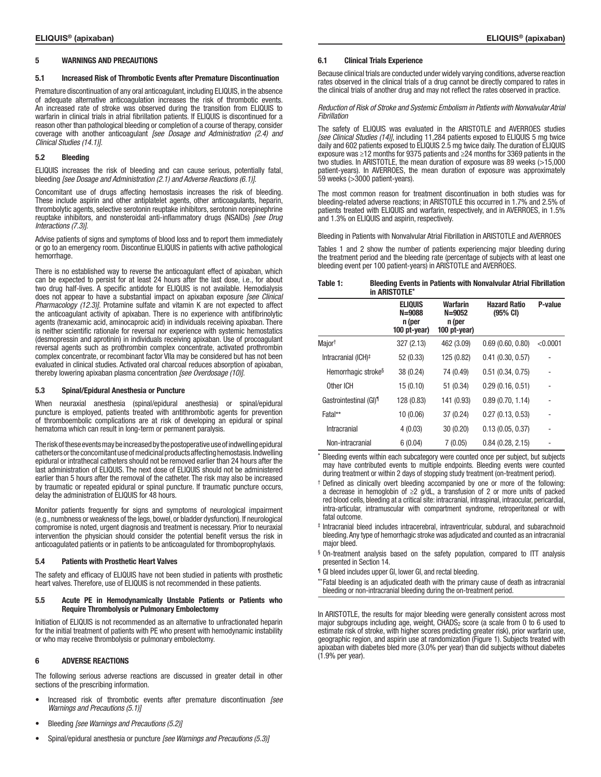#### 5 WARNINGS AND PRECAUTIONS

#### 5.1 Increased Risk of Thrombotic Events after Premature Discontinuation

Premature discontinuation of any oral anticoagulant, including ELIQUIS, in the absence of adequate alternative anticoagulation increases the risk of thrombotic events. An increased rate of stroke was observed during the transition from ELIQUIS to warfarin in clinical trials in atrial fibrillation patients. If ELIQUIS is discontinued for a reason other than pathological bleeding or completion of a course of therapy, consider coverage with another anticoagulant *[see Dosage and Administration (2.4) and Clinical Studies (14.1)]*.

#### 5.2 Bleeding

ELIQUIS increases the risk of bleeding and can cause serious, potentially fatal, bleeding *[see Dosage and Administration (2.1) and Adverse Reactions (6.1)]*.

Concomitant use of drugs affecting hemostasis increases the risk of bleeding. These include aspirin and other antiplatelet agents, other anticoagulants, heparin, thrombolytic agents, selective serotonin reuptake inhibitors, serotonin norepinephrine reuptake inhibitors, and nonsteroidal anti-inflammatory drugs (NSAIDs) *[see Drug Interactions (7.3)]*.

Advise patients of signs and symptoms of blood loss and to report them immediately or go to an emergency room. Discontinue ELIQUIS in patients with active pathological hemorrhage.

There is no established way to reverse the anticoagulant effect of apixaban, which can be expected to persist for at least 24 hours after the last dose, i.e., for about two drug half-lives. A specific antidote for ELIQUIS is not available. Hemodialysis does not appear to have a substantial impact on apixaban exposure *[see Clinical Pharmacology (12.3)]*. Protamine sulfate and vitamin K are not expected to affect the anticoagulant activity of apixaban. There is no experience with antifibrinolytic agents (tranexamic acid, aminocaproic acid) in individuals receiving apixaban. There is neither scientific rationale for reversal nor experience with systemic hemostatics (desmopressin and aprotinin) in individuals receiving apixaban. Use of procoagulant reversal agents such as prothrombin complex concentrate, activated prothrombin complex concentrate, or recombinant factor VIIa may be considered but has not been evaluated in clinical studies. Activated oral charcoal reduces absorption of apixaban, thereby lowering apixaban plasma concentration *[see Overdosage (10)]*.

#### 5.3 Spinal/Epidural Anesthesia or Puncture

When neuraxial anesthesia (spinal/epidural anesthesia) or spinal/epidural puncture is employed, patients treated with antithrombotic agents for prevention of thromboembolic complications are at risk of developing an epidural or spinal hematoma which can result in long-term or permanent paralysis.

The risk of these events may be increased by the postoperative use of indwelling epidural catheters or the concomitant use of medicinal products affecting hemostasis. Indwelling epidural or intrathecal catheters should not be removed earlier than 24 hours after the last administration of ELIQUIS. The next dose of ELIQUIS should not be administered earlier than 5 hours after the removal of the catheter. The risk may also be increased by traumatic or repeated epidural or spinal puncture. If traumatic puncture occurs, delay the administration of ELIQUIS for 48 hours.

Monitor patients frequently for signs and symptoms of neurological impairment (e.g., numbness or weakness of the legs, bowel, or bladder dysfunction). If neurological compromise is noted, urgent diagnosis and treatment is necessary. Prior to neuraxial intervention the physician should consider the potential benefit versus the risk in anticoagulated patients or in patients to be anticoagulated for thromboprophylaxis.

#### 5.4 Patients with Prosthetic Heart Valves

The safety and efficacy of ELIQUIS have not been studied in patients with prosthetic heart valves. Therefore, use of ELIQUIS is not recommended in these patients.

#### 5.5 Acute PE in Hemodynamically Unstable Patients or Patients who Require Thrombolysis or Pulmonary Embolectomy

Initiation of ELIQUIS is not recommended as an alternative to unfractionated heparin for the initial treatment of patients with PE who present with hemodynamic instability or who may receive thrombolysis or pulmonary embolectomy.

#### 6 ADVERSE REACTIONS

The following serious adverse reactions are discussed in greater detail in other sections of the prescribing information.

- Increased risk of thrombotic events after premature discontinuation *[see Warnings and Precautions (5.1)]*
- Bleeding *[see Warnings and Precautions (5.2)]*
- Spinal/epidural anesthesia or puncture *[see Warnings and Precautions (5.3)]*

#### 6.1 Clinical Trials Experience

Because clinical trials are conducted under widely varying conditions, adverse reaction rates observed in the clinical trials of a drug cannot be directly compared to rates in the clinical trials of another drug and may not reflect the rates observed in practice.

*Reduction of Risk of Stroke and Systemic Embolism in Patients with Nonvalvular Atrial Fibrillation*

The safety of ELIQUIS was evaluated in the ARISTOTLE and AVERROES studies *[see Clinical Studies (14)]*, including 11,284 patients exposed to ELIQUIS 5 mg twice daily and 602 patients exposed to ELIQUIS 2.5 mg twice daily. The duration of ELIQUIS exposure was ≥12 months for 9375 patients and ≥24 months for 3369 patients in the two studies. In ARISTOTLE, the mean duration of exposure was 89 weeks (>15,000 patient-years). In AVERROES, the mean duration of exposure was approximately 59 weeks (>3000 patient-years).

The most common reason for treatment discontinuation in both studies was for bleeding-related adverse reactions; in ARISTOTLE this occurred in 1.7% and 2.5% of patients treated with ELIQUIS and warfarin, respectively, and in AVERROES, in 1.5% and 1.3% on ELIQUIS and aspirin, respectively.

Bleeding in Patients with Nonvalvular Atrial Fibrillation in ARISTOTLE and AVERROES

Tables 1 and 2 show the number of patients experiencing major bleeding during the treatment period and the bleeding rate (percentage of subjects with at least one bleeding event per 100 patient-years) in ARISTOTLE and AVERROES.

| Table 1: | <b>Bleeding Events in Patients with Nonvalvular Atrial Fibrillation</b> |
|----------|-------------------------------------------------------------------------|
|          | in ARISTOTLE*                                                           |

|                                    | <b>ELIQUIS</b><br>$N = 9088$<br>n (per<br>100 pt-year) | Warfarin<br>$N = 9052$<br>n (per<br>100 pt-year) | <b>Hazard Ratio</b><br>$(95% \text{ CI})$ | P-value  |
|------------------------------------|--------------------------------------------------------|--------------------------------------------------|-------------------------------------------|----------|
| Major <sup>t</sup>                 | 327 (2.13)                                             | 462 (3.09)                                       | 0.69(0.60, 0.80)                          | < 0.0001 |
| Intracranial (ICH) <sup>‡</sup>    | 52 (0.33)                                              | 125 (0.82)                                       | 0.41(0.30, 0.57)                          |          |
| Hemorrhagic stroke <sup>§</sup>    | 38 (0.24)                                              | 74 (0.49)                                        | 0.51(0.34, 0.75)                          |          |
| Other ICH                          | 15(0.10)                                               | 51 (0.34)                                        | 0.29(0.16, 0.51)                          |          |
| Gastrointestinal (GI) <sup>1</sup> | 128 (0.83)                                             | 141 (0.93)                                       | 0.89(0.70, 1.14)                          |          |
| Fatal**                            | 10 (0.06)                                              | 37 (0.24)                                        | 0.27(0.13, 0.53)                          |          |
| Intracranial                       | 4(0.03)                                                | 30 (0.20)                                        | 0.13(0.05, 0.37)                          |          |
| Non-intracranial                   | 6(0.04)                                                | 7(0.05)                                          | 0.84(0.28, 2.15)                          |          |

Bleeding events within each subcategory were counted once per subject, but subjects may have contributed events to multiple endpoints. Bleeding events were counted during treatment or within 2 days of stopping study treatment (on-treatment period).

- † Defined as clinically overt bleeding accompanied by one or more of the following: a decrease in hemoglobin of ≥2 g/dL, a transfusion of 2 or more units of packed red blood cells, bleeding at a critical site: intracranial, intraspinal, intraocular, pericardial, intra-articular, intramuscular with compartment syndrome, retroperitoneal or with fatal outcome.
- ‡ Intracranial bleed includes intracerebral, intraventricular, subdural, and subarachnoid bleeding. Any type of hemorrhagic stroke was adjudicated and counted as an intracranial major bleed.
- § On-treatment analysis based on the safety population, compared to ITT analysis presented in Section 14.
- ¶ GI bleed includes upper GI, lower GI, and rectal bleeding.
- \*\*Fatal bleeding is an adjudicated death with the primary cause of death as intracranial bleeding or non-intracranial bleeding during the on-treatment period.

In ARISTOTLE, the results for major bleeding were generally consistent across most major subgroups including age, weight,  $CH\overline{ADS}_2$  score (a scale from 0 to 6 used to estimate risk of stroke, with higher scores predicting greater risk), prior warfarin use, geographic region, and aspirin use at randomization (Figure 1). Subjects treated with apixaban with diabetes bled more (3.0% per year) than did subjects without diabetes (1.9% per year).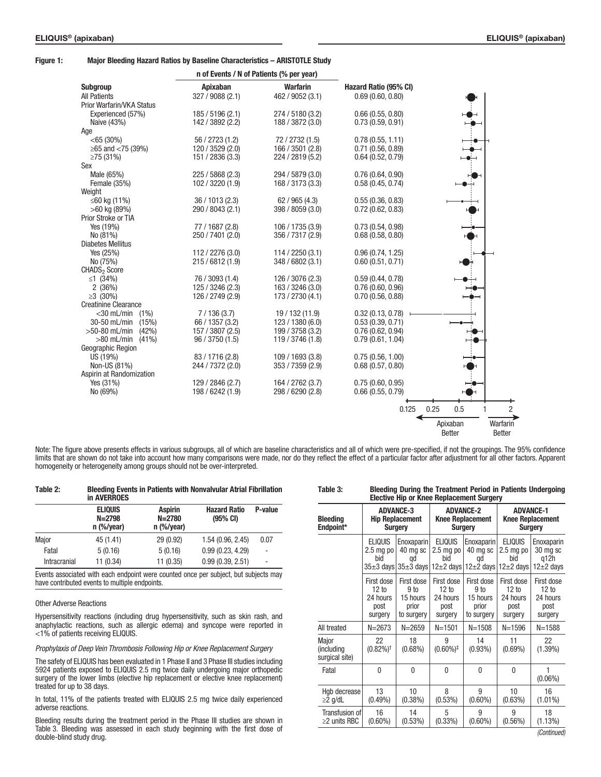#### Figure 1: Major Bleeding Hazard Ratios by Baseline Characteristics – ARISTOTLE Study

|                             |                  | n of Events / N of Patients (% per year) |                       |      |               |                |
|-----------------------------|------------------|------------------------------------------|-----------------------|------|---------------|----------------|
| <b>Subgroup</b>             | <b>Apixaban</b>  | <b>Warfarin</b>                          | Hazard Ratio (95% CI) |      |               |                |
| <b>All Patients</b>         | 327 / 9088 (2.1) | 462 / 9052 (3.1)                         | 0.69(0.60, 0.80)      |      |               |                |
| Prior Warfarin/VKA Status   |                  |                                          |                       |      |               |                |
| Experienced (57%)           | 185 / 5196 (2.1) | 274 / 5180 (3.2)                         | 0.66(0.55, 0.80)      |      |               |                |
| Naive (43%)                 | 142 / 3892 (2.2) | 188 / 3872 (3.0)                         | 0.73(0.59, 0.91)      |      |               |                |
| Age                         |                  |                                          |                       |      |               |                |
| $<$ 65 (30%)                | 56 / 2723 (1.2)  | 72 / 2732 (1.5)                          | 0.78(0.55, 1.11)      |      |               |                |
| ≥65 and $<$ 75 (39%)        | 120 / 3529 (2.0) | 166 / 3501 (2.8)                         | 0.71(0.56, 0.89)      |      |               |                |
| $\geq$ 75 (31%)             | 151 / 2836 (3.3) | 224 / 2819 (5.2)                         | 0.64(0.52, 0.79)      |      |               |                |
| Sex                         |                  |                                          |                       |      |               |                |
| Male (65%)                  | 225 / 5868 (2.3) | 294 / 5879 (3.0)                         | 0.76(0.64, 0.90)      |      |               |                |
| Female (35%)                | 102 / 3220 (1.9) | 168 / 3173 (3.3)                         | 0.58(0.45, 0.74)      |      |               |                |
| Weight                      |                  |                                          |                       |      |               |                |
| ≤60 kg (11%)                | 36 / 1013 (2.3)  | 62 / 965 (4.3)                           | 0.55(0.36, 0.83)      |      |               |                |
| $>60$ kg (89%)              | 290 / 8043 (2.1) | 398 / 8059 (3.0)                         | 0.72(0.62, 0.83)      |      |               |                |
| Prior Stroke or TIA         |                  |                                          |                       |      |               |                |
| Yes (19%)                   | 77 / 1687 (2.8)  | 106 / 1735 (3.9)                         | 0.73(0.54, 0.98)      |      |               |                |
| No (81%)                    | 250 / 7401 (2.0) | 356 / 7317 (2.9)                         | 0.68(0.58, 0.80)      |      |               |                |
| <b>Diabetes Mellitus</b>    |                  |                                          |                       |      |               |                |
| Yes (25%)                   | 112 / 2276 (3.0) | 114 / 2250 (3.1)                         | 0.96(0.74, 1.25)      |      |               |                |
| No (75%)                    | 215 / 6812 (1.9) | 348 / 6802 (3.1)                         | 0.60(0.51, 0.71)      |      |               |                |
| CHADS <sub>2</sub> Score    |                  |                                          |                       |      |               |                |
| ≤1 $(34%)$                  | 76 / 3093 (1.4)  | 126 / 3076 (2.3)                         | 0.59(0.44, 0.78)      |      |               |                |
| 2(36%)                      | 125 / 3246 (2.3) | 163 / 3246 (3.0)                         | 0.76(0.60, 0.96)      |      |               |                |
| $\geq 3$ (30%)              | 126 / 2749 (2.9) | 173 / 2730 (4.1)                         | 0.70(0.56, 0.88)      |      |               |                |
| <b>Creatinine Clearance</b> |                  |                                          |                       |      |               |                |
| $<$ 30 mL/min $(1%)$        | 7/136(3.7)       | 19 / 132 (11.9)                          | 0.32(0.13, 0.78)      |      |               |                |
| 30-50 mL/min<br>(15%)       | 66 / 1357 (3.2)  | 123/1380(6.0)                            | 0.53(0.39, 0.71)      |      |               |                |
| $>50-80$ mL/min $(42%)$     | 157 / 3807 (2.5) | 199 / 3758 (3.2)                         | 0.76(0.62, 0.94)      |      |               |                |
| $>80$ mL/min $(41\%)$       | 96 / 3750 (1.5)  | 119 / 3746 (1.8)                         | 0.79(0.61, 1.04)      |      |               |                |
| Geographic Region           |                  |                                          |                       |      |               |                |
| US (19%)                    | 83 / 1716 (2.8)  | 109 / 1693 (3.8)                         | 0.75(0.56, 1.00)      |      | ⊷⊷            |                |
| Non-US (81%)                | 244 / 7372 (2.0) | 353 / 7359 (2.9)                         | 0.68(0.57, 0.80)      |      |               |                |
| Aspirin at Randomization    |                  |                                          |                       |      |               |                |
| Yes (31%)                   | 129 / 2846 (2.7) | 164 / 2762 (3.7)                         | 0.75(0.60, 0.95)      |      |               |                |
| No (69%)                    | 198 / 6242 (1.9) | 298 / 6290 (2.8)                         | 0.66(0.55, 0.79)      |      |               |                |
|                             |                  |                                          |                       |      |               |                |
|                             |                  |                                          | 0.125                 | 0.25 | 0.5           | $\overline{2}$ |
|                             |                  |                                          |                       |      | Apixaban      | Warfarin       |
|                             |                  |                                          |                       |      | <b>Better</b> | <b>Better</b>  |

Note: The figure above presents effects in various subgroups, all of which are baseline characteristics and all of which were pre-specified, if not the groupings. The 95% confidence limits that are shown do not take into account how many comparisons were made, nor do they reflect the effect of a particular factor after adjustment for all other factors. Apparent homogeneity or heterogeneity among groups should not be over-interpreted.

> Transfusion of ≥2 units RBC

16 (0.60%)

14 (0.53%)

| $1$ univ Li         | <b>DIOVANIY ETVINO IN I QUONO THUI NONTRAITAIGI FUNGI I INTINUUTI</b><br>in AVERROES |                                              |                                           |         |  |
|---------------------|--------------------------------------------------------------------------------------|----------------------------------------------|-------------------------------------------|---------|--|
|                     | <b>ELIQUIS</b><br>$N = 2798$<br>$n$ (%/year)                                         | <b>Aspirin</b><br>$N = 2780$<br>$n$ (%/year) | <b>Hazard Ratio</b><br>$(95% \text{ CI})$ | P-value |  |
| Major               | 45 (1.41)                                                                            | 29 (0.92)                                    | 1.54 (0.96, 2.45)                         | 0.07    |  |
| Fatal               | 5(0.16)                                                                              | 5(0.16)                                      | 0.99(0.23, 4.29)                          |         |  |
| <b>Intracranial</b> | 11 (0.34)                                                                            | 11 (0.35)                                    | 0.99(0.39, 2.51)                          | ٠       |  |

Table 2: Bleeding Events in Patients with Nonvalvular Atrial Fibrillation

Events associated with each endpoint were counted once per subject, but subjects may have contributed events to multiple endpoints.

#### Other Adverse Reactions

Hypersensitivity reactions (including drug hypersensitivity, such as skin rash, and anaphylactic reactions, such as allergic edema) and syncope were reported in <1% of patients receiving ELIQUIS.

*Prophylaxis of Deep Vein Thrombosis Following Hip or Knee Replacement Surgery*

The safety of ELIQUIS has been evaluated in 1 Phase II and 3 Phase III studies including 5924 patients exposed to ELIQUIS 2.5 mg twice daily undergoing major orthopedic surgery of the lower limbs (elective hip replacement or elective knee replacement) treated for up to 38 days.

In total, 11% of the patients treated with ELIQUIS 2.5 mg twice daily experienced adverse reactions.

Bleeding results during the treatment period in the Phase III studies are shown in Table 3. Bleeding was assessed in each study beginning with the first dose of double-blind study drug.

| <b>Bleeding</b><br>Endpoint*          | <b>ADVANCE-3</b><br><b>Hip Replacement</b><br><b>Surgery</b> |                                                       | <b>ADVANCE-2</b><br><b>Knee Replacement</b><br><b>Surgery</b> |                                                                                                           | <b>ADVANCE-1</b><br><b>Knee Replacement</b><br><b>Surgery</b> |                                                    |
|---------------------------------------|--------------------------------------------------------------|-------------------------------------------------------|---------------------------------------------------------------|-----------------------------------------------------------------------------------------------------------|---------------------------------------------------------------|----------------------------------------------------|
|                                       | <b>ELIQUIS</b><br>$2.5$ mg po<br>bid                         | Enoxaparin<br>40 mg sc<br>qd                          | <b>ELIQUIS</b><br>$2.5$ mg po<br>bid                          | Enoxaparin<br>40 mg sc<br>qd<br>$35\pm3$ days $35\pm3$ days $12\pm2$ days $12\pm2$ days $12\pm2$ days $ $ | <b>ELIQUIS</b><br>$2.5$ mg po<br>bid                          | Enoxaparin<br>30 mg sc<br>a12h<br>$12\pm 2$ days   |
|                                       | First dose<br>12 to<br>24 hours<br>post<br>surgery           | First dose<br>9 to<br>15 hours<br>prior<br>to surgery | First dose<br>12 to<br>24 hours<br>post<br>surgery            | First dose<br>9 <sub>to</sub><br>15 hours<br>prior<br>to surgery                                          | First dose<br>12 to<br>24 hours<br>post<br>surgery            | First dose<br>12 to<br>24 hours<br>post<br>surgery |
| All treated                           | $N = 2673$                                                   | $N = 2659$                                            | $N = 1501$                                                    | $N = 1508$                                                                                                | $N = 1596$                                                    | $N = 1588$                                         |
| Major<br>(including<br>surgical site) | 22<br>$(0.82\%)^{\dagger}$                                   | 18<br>$(0.68\%)$                                      | 9<br>$(0.60\%)^{\ddagger}$                                    | 14<br>$(0.93\%)$                                                                                          | 11<br>$(0.69\%)$                                              | 22<br>$(1.39\%)$                                   |
| Fatal                                 | $\mathbf{0}$                                                 | 0                                                     | 0                                                             | 0                                                                                                         | $\Omega$                                                      | $(0.06\%)$                                         |
| Hgb decrease<br>$\geq$ 2 g/dL         | 13<br>$(0.49\%)$                                             | 10<br>$(0.38\%)$                                      | 8<br>(0.53%)                                                  | 9<br>$(0.60\%)$                                                                                           | 10<br>(0.63%)                                                 | 16<br>$(1.01\%)$                                   |

5 (0.33%)

9 (0.60%)

9 (0.56%)

Table 3: Bleeding During the Treatment Period in Patients Undergoing Elective Hip or Knee Replacement Surgery

18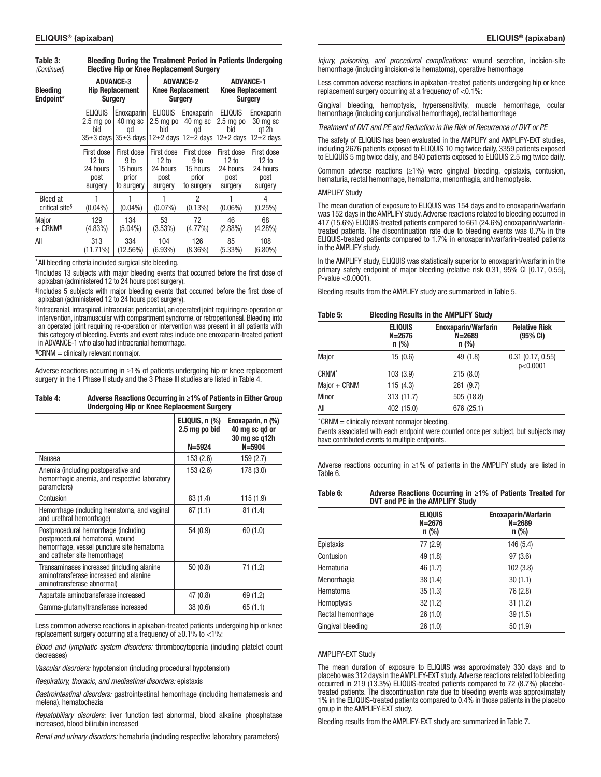| 100111111001<br>LIVOUTO TIIN OI TUIVO HONIUVOIHOIIL OUTGOTT |                                                              |                                                       |                                                                       |                                                                  |                                                               |                                                    |
|-------------------------------------------------------------|--------------------------------------------------------------|-------------------------------------------------------|-----------------------------------------------------------------------|------------------------------------------------------------------|---------------------------------------------------------------|----------------------------------------------------|
| <b>Bleeding</b><br>Endpoint*                                | <b>ADVANCE-3</b><br><b>Hip Replacement</b><br><b>Surgery</b> |                                                       | <b>ADVANCE-2</b><br><b>Knee Replacement</b><br><b>Surgery</b>         |                                                                  | <b>ADVANCE-1</b><br><b>Knee Replacement</b><br><b>Surgery</b> |                                                    |
|                                                             | <b>ELIQUIS</b><br>$2.5$ mg po<br>bid<br>35±3 davsl           | Enoxaparin<br>40 mg sc<br>qd                          | <b>ELIQUIS</b><br>$2.5$ mg po<br>bid<br>$35\pm3$ days 12 $\pm$ 2 days | Enoxaparin<br>40 mg sc<br>qd<br>$12\pm 2$ days                   | <b>ELIQUIS</b><br>$2.5$ mg po<br>bid<br>$12\pm 2$ days        | Enoxaparin<br>30 mg sc<br>a12h<br>$12\pm 2$ days   |
|                                                             | First dose<br>12 to<br>24 hours<br>post<br>surgery           | First dose<br>9 to<br>15 hours<br>prior<br>to surgery | First dose<br>12 to<br>24 hours<br>post<br>surgery                    | First dose<br>9 <sub>to</sub><br>15 hours<br>prior<br>to surgery | First dose<br>12 to<br>24 hours<br>post<br>surgery            | First dose<br>12 to<br>24 hours<br>post<br>surgery |
| <b>Bleed at</b><br>critical site <sup>§</sup>               | $(0.04\%)$                                                   | $(0.04\%)$                                            | $(0.07\%)$                                                            | $\mathfrak{p}$<br>$(0.13\%)$                                     | $(0.06\%)$                                                    | 4<br>(0.25%)                                       |
| Major<br>$+$ CRNM <sup>1</sup>                              | 129<br>$(4.83\%)$                                            | 134<br>$(5.04\%)$                                     | 53<br>(3.53%)                                                         | 72<br>$(4.77\%)$                                                 | 46<br>$(2.88\%)$                                              | 68<br>$(4.28\%)$                                   |
| All                                                         | 313<br>$(11.71\%)$                                           | 334<br>(12.56%)                                       | 104<br>$(6.93\%)$                                                     | 126<br>$(8.36\%)$                                                | 85<br>$(5.33\%)$                                              | 108<br>$(6.80\%)$                                  |

Table 3: Bleeding During the Treatment Period in Patients Undergoing Elective Hip or Knee Replacement Surgery *(Continued)*

\*All bleeding criteria included surgical site bleeding.

†Includes 13 subjects with major bleeding events that occurred before the first dose of apixaban (administered 12 to 24 hours post surgery).

‡Includes 5 subjects with major bleeding events that occurred before the first dose of apixaban (administered 12 to 24 hours post surgery).

§Intracranial, intraspinal, intraocular, pericardial, an operated joint requiring re-operation or intervention, intramuscular with compartment syndrome, or retroperitoneal. Bleeding into an operated joint requiring re-operation or intervention was present in all patients with this category of bleeding. Events and event rates include one enoxaparin-treated patient in ADVANCE-1 who also had intracranial hemorrhage.

¶CRNM = clinically relevant nonmajor.

Adverse reactions occurring in ≥1% of patients undergoing hip or knee replacement surgery in the 1 Phase II study and the 3 Phase III studies are listed in Table 4.

| Table 4: | Adverse Reactions Occurring in ≥1% of Patients in Either Group |
|----------|----------------------------------------------------------------|
|          | Undergoing Hip or Knee Replacement Surgery                     |

|                                                                                                                                                      | ELIQUIS, n (%)<br>2.5 mg po bid | Enoxaparin, n (%)<br>40 mg sc gd or<br>30 mg sc g12h |
|------------------------------------------------------------------------------------------------------------------------------------------------------|---------------------------------|------------------------------------------------------|
|                                                                                                                                                      | $N = 5924$                      | $N = 5904$                                           |
| Nausea                                                                                                                                               | 153 (2.6)                       | 159 (2.7)                                            |
| Anemia (including postoperative and<br>hemorrhagic anemia, and respective laboratory<br>parameters)                                                  | 153 (2.6)                       | 178 (3.0)                                            |
| Contusion                                                                                                                                            | 83 (1.4)                        | 115(1.9)                                             |
| Hemorrhage (including hematoma, and vaginal<br>and urethral hemorrhage)                                                                              | 67(1.1)                         | 81(1.4)                                              |
| Postprocedural hemorrhage (including<br>postprocedural hematoma, wound<br>hemorrhage, vessel puncture site hematoma<br>and catheter site hemorrhage) | 54 (0.9)                        | 60(1.0)                                              |
| Transaminases increased (including alanine<br>aminotransferase increased and alanine<br>aminotransferase abnormal)                                   | 50(0.8)                         | 71 (1.2)                                             |
| Aspartate aminotransferase increased                                                                                                                 | 47 (0.8)                        | 69 (1.2)                                             |
| Gamma-glutamyltransferase increased                                                                                                                  | 38(0.6)                         | 65(1.1)                                              |

Less common adverse reactions in apixaban-treated patients undergoing hip or knee replacement surgery occurring at a frequency of ≥0.1% to <1%:

*Blood and lymphatic system disorders:* thrombocytopenia (including platelet count decreases<sup>)</sup>

*Vascular disorders:* hypotension (including procedural hypotension)

*Respiratory, thoracic, and mediastinal disorders:* epistaxis

*Gastrointestinal disorders:* gastrointestinal hemorrhage (including hematemesis and melena), hematochezia

*Hepatobiliary disorders:* liver function test abnormal, blood alkaline phosphatase increased, blood bilirubin increased

*Renal and urinary disorders:* hematuria (including respective laboratory parameters)

*Injury, poisoning, and procedural complications:* wound secretion, incision-site hemorrhage (including incision-site hematoma), operative hemorrhage

Less common adverse reactions in apixaban-treated patients undergoing hip or knee replacement surgery occurring at a frequency of <0.1%:

Gingival bleeding, hemoptysis, hypersensitivity, muscle hemorrhage, ocular hemorrhage (including conjunctival hemorrhage), rectal hemorrhage

*Treatment of DVT and PE and Reduction in the Risk of Recurrence of DVT or PE*

The safety of ELIQUIS has been evaluated in the AMPLIFY and AMPLIFY-EXT studies, including 2676 patients exposed to ELIQUIS 10 mg twice daily, 3359 patients exposed to ELIQUIS 5 mg twice daily, and 840 patients exposed to ELIQUIS 2.5 mg twice daily.

Common adverse reactions (≥1%) were gingival bleeding, epistaxis, contusion, hematuria, rectal hemorrhage, hematoma, menorrhagia, and hemoptysis.

#### **AMPLIFY Study**

The mean duration of exposure to ELIQUIS was 154 days and to enoxaparin/warfarin was 152 days in the AMPLIFY study. Adverse reactions related to bleeding occurred in 417 (15.6%) ELIQUIS-treated patients compared to 661 (24.6%) enoxaparin/warfarintreated patients. The discontinuation rate due to bleeding events was 0.7% in the ELIQUIS-treated patients compared to 1.7% in enoxaparin/warfarin-treated patients in the AMPLIFY study.

In the AMPLIFY study, ELIQUIS was statistically superior to enoxaparin/warfarin in the primary safety endpoint of major bleeding (relative risk 0.31, 95% CI [0.17, 0.55], P-value <0.0001).

Bleeding results from the AMPLIFY study are summarized in Table 5.

#### Table 5: Bleeding Results in the AMPLIFY Study

| <b>ELIQUIS</b><br>$N = 2676$<br>$n$ (%) | <b>Enoxaparin/Warfarin</b><br>$N = 2689$<br>$n$ (%) | <b>Relative Risk</b><br>$(95% \text{ CI})$ |
|-----------------------------------------|-----------------------------------------------------|--------------------------------------------|
| 15(0.6)                                 | 49 (1.8)                                            | 0.31(0.17, 0.55)<br>p<0.0001               |
| 103 (3.9)                               | 215(8.0)                                            |                                            |
| 115(4.3)                                | 261(9.7)                                            |                                            |
| 313(11.7)                               | 505 (18.8)                                          |                                            |
| 402 (15.0)                              | 676 (25.1)                                          |                                            |
|                                         |                                                     |                                            |

\*CRNM = clinically relevant nonmajor bleeding.

Events associated with each endpoint were counted once per subject, but subjects may have contributed events to multiple endpoints.

Adverse reactions occurring in ≥1% of patients in the AMPLIFY study are listed in Table 6.

| Table 6: | Adverse Reactions Occurring in $\geq 1\%$ of Patients Treated for |
|----------|-------------------------------------------------------------------|
|          | DVT and PE in the AMPLIFY Study                                   |

|                   | <b>ELIQUIS</b><br>$N = 2676$<br>n (%) | <b>Enoxaparin/Warfarin</b><br>$N = 2689$<br>$n$ (%) |
|-------------------|---------------------------------------|-----------------------------------------------------|
| Epistaxis         | 77 (2.9)                              | 146 (5.4)                                           |
| Contusion         | 49 (1.8)                              | 97(3.6)                                             |
| Hematuria         | 46 (1.7)                              | 102 (3.8)                                           |
| Menorrhagia       | 38(1.4)                               | 30(1.1)                                             |
| Hematoma          | 35(1.3)                               | 76 (2.8)                                            |
| <b>Hemoptysis</b> | 32(1.2)                               | 31(1.2)                                             |
| Rectal hemorrhage | 26(1.0)                               | 39(1.5)                                             |
| Gingival bleeding | 26(1.0)                               | 50(1.9)                                             |

#### AMPLIFY-EXT Study

The mean duration of exposure to ELIQUIS was approximately 330 days and to placebo was 312 days in the AMPLIFY-EXT study. Adverse reactions related to bleeding occurred in 219 (13.3%) ELIQUIS-treated patients compared to 72 (8.7%) placebotreated patients. The discontinuation rate due to bleeding events was approximately 1% in the ELIQUIS-treated patients compared to 0.4% in those patients in the placebo group in the AMPLIFY-EXT study.

Bleeding results from the AMPLIFY-EXT study are summarized in Table 7.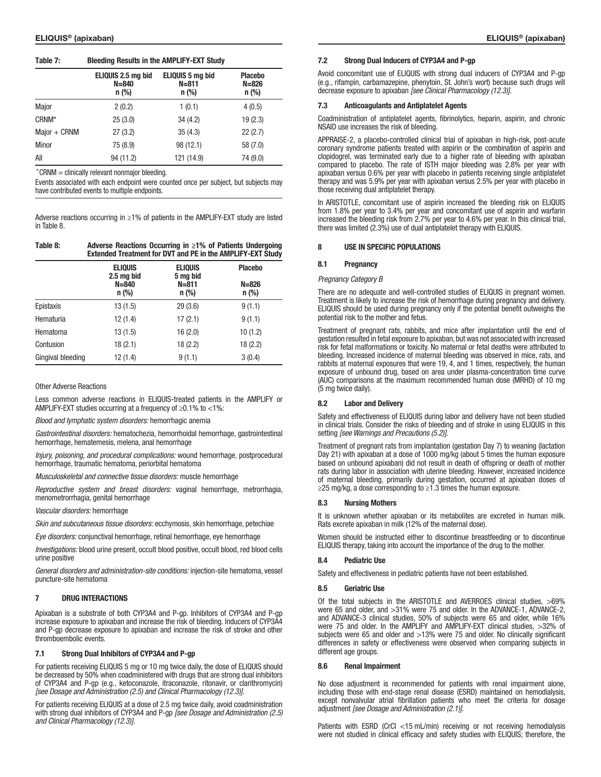### Table 7: Bleeding Results in the AMPLIFY-EXT Study

|                   | ELIQUIS 2.5 mg bid<br>$N = 840$<br>$n$ (%) | ELIQUIS 5 mg bid<br>$N = 811$<br>$n$ (%) | <b>Placebo</b><br>$N = 826$<br>$n$ (%) |
|-------------------|--------------------------------------------|------------------------------------------|----------------------------------------|
| Major             | 2(0.2)                                     | 1(0.1)                                   | 4(0.5)                                 |
| CRNM <sup>*</sup> | 25(3.0)                                    | 34(4.2)                                  | 19(2.3)                                |
| $Major + CRNM$    | 27(3.2)                                    | 35(4.3)                                  | 22(2.7)                                |
| Minor             | 75 (8.9)                                   | 98 (12.1)                                | 58 (7.0)                               |
| All               | 94 (11.2)                                  | 121 (14.9)                               | 74 (9.0)                               |

\*CRNM = clinically relevant nonmajor bleeding.

Events associated with each endpoint were counted once per subject, but subjects may have contributed events to multiple endpoints.

Adverse reactions occurring in ≥1% of patients in the AMPLIFY-EXT study are listed in Table 8.

#### Table 8: Adverse Reactions Occurring in ≥1% of Patients Undergoing Extended Treatment for DVT and PE in the AMPLIFY-EXT Study

|                   | <b>ELIQUIS</b><br>2.5 mg bid | <b>ELIQUIS</b><br>5 mg bid | <b>Placebo</b>       |
|-------------------|------------------------------|----------------------------|----------------------|
|                   | $N = 840$<br>$n$ (%)         | $N = 811$<br>$n$ (%)       | $N = 826$<br>$n$ (%) |
| Epistaxis         | 13(1.5)                      | 29(3.6)                    | 9(1.1)               |
| Hematuria         | 12(1.4)                      | 17(2.1)                    | 9(1.1)               |
| Hematoma          | 13(1.5)                      | 16(2.0)                    | 10(1.2)              |
| Contusion         | 18(2.1)                      | 18(2.2)                    | 18(2.2)              |
| Gingival bleeding | 12 (1.4)                     | 9(1.1)                     | 3(0.4)               |

### Other Adverse Reactions

Less common adverse reactions in ELIQUIS-treated patients in the AMPLIFY or AMPLIFY-EXT studies occurring at a frequency of ≥0.1% to <1%:

*Blood and lymphatic system disorders:* hemorrhagic anemia

*Gastrointestinal disorders:* hematochezia, hemorrhoidal hemorrhage, gastrointestinal hemorrhage, hematemesis, melena, anal hemorrhage

*Injury, poisoning, and procedural complications:* wound hemorrhage, postprocedural hemorrhage, traumatic hematoma, periorbital hematoma

*Musculoskeletal and connective tissue disorders:* muscle hemorrhage

*Reproductive system and breast disorders:* vaginal hemorrhage, metrorrhagia, menometrorrhagia, genital hemorrhage

#### *Vascular disorders:* hemorrhage

*Skin and subcutaneous tissue disorders:* ecchymosis, skin hemorrhage, petechiae

*Eye disorders:* conjunctival hemorrhage, retinal hemorrhage, eye hemorrhage

*Investigations:* blood urine present, occult blood positive, occult blood, red blood cells urine positive

*General disorders and administration-site conditions:* injection-site hematoma, vessel puncture-site hematoma

### 7 DRUG INTERACTIONS

Apixaban is a substrate of both CYP3A4 and P-gp. Inhibitors of CYP3A4 and P-gp increase exposure to apixaban and increase the risk of bleeding. Inducers of CYP3A4 and P-gp decrease exposure to apixaban and increase the risk of stroke and other thromboembolic events.

## 7.1 Strong Dual Inhibitors of CYP3A4 and P-gp

For patients receiving ELIQUIS 5 mg or 10 mg twice daily, the dose of ELIQUIS should be decreased by 50% when coadministered with drugs that are strong dual inhibitors of CYP3A4 and P-gp (e.g., ketoconazole, itraconazole, ritonavir, or clarithromycin) *[see Dosage and Administration (2.5) and Clinical Pharmacology (12.3)]*.

For patients receiving ELIQUIS at a dose of 2.5 mg twice daily, avoid coadministration with strong dual inhibitors of CYP3A4 and P-gp *[see Dosage and Administration (2.5) and Clinical Pharmacology (12.3)]*.

#### 7.2 Strong Dual Inducers of CYP3A4 and P-gp

Avoid concomitant use of ELIQUIS with strong dual inducers of CYP3A4 and P-gp (e.g., rifampin, carbamazepine, phenytoin, St. John's wort) because such drugs will decrease exposure to apixaban *[see Clinical Pharmacology (12.3)]*.

#### 7.3 Anticoagulants and Antiplatelet Agents

Coadministration of antiplatelet agents, fibrinolytics, heparin, aspirin, and chronic NSAID use increases the risk of bleeding.

APPRAISE-2, a placebo-controlled clinical trial of apixaban in high-risk, post-acute coronary syndrome patients treated with aspirin or the combination of aspirin and clopidogrel, was terminated early due to a higher rate of bleeding with apixaban compared to placebo. The rate of ISTH major bleeding was 2.8% per year with apixaban versus 0.6% per year with placebo in patients receiving single antiplatelet therapy and was 5.9% per year with apixaban versus 2.5% per year with placebo in those receiving dual antiplatelet therapy.

In ARISTOTLE, concomitant use of aspirin increased the bleeding risk on ELIQUIS from 1.8% per year to 3.4% per year and concomitant use of aspirin and warfarin increased the bleeding risk from 2.7% per year to 4.6% per year. In this clinical trial, there was limited (2.3%) use of dual antiplatelet therapy with ELIQUIS.

### 8 USE IN SPECIFIC POPULATIONS

#### 8.1 Pregnancy

#### *Pregnancy Category B*

There are no adequate and well-controlled studies of ELIQUIS in pregnant women. Treatment is likely to increase the risk of hemorrhage during pregnancy and delivery. ELIQUIS should be used during pregnancy only if the potential benefit outweighs the potential risk to the mother and fetus.

Treatment of pregnant rats, rabbits, and mice after implantation until the end of gestation resulted in fetal exposure to apixaban, but was not associated with increased risk for fetal malformations or toxicity. No maternal or fetal deaths were attributed to bleeding. Increased incidence of maternal bleeding was observed in mice, rats, and rabbits at maternal exposures that were 19, 4, and 1 times, respectively, the human exposure of unbound drug, based on area under plasma-concentration time curve (AUC) comparisons at the maximum recommended human dose (MRHD) of 10 mg (5 mg twice daily).

#### 8.2 Labor and Delivery

Safety and effectiveness of ELIQUIS during labor and delivery have not been studied in clinical trials. Consider the risks of bleeding and of stroke in using ELIQUIS in this setting *[see Warnings and Precautions (5.2)]*.

Treatment of pregnant rats from implantation (gestation Day 7) to weaning (lactation Day 21) with apixaban at a dose of 1000 mg/kg (about 5 times the human exposure based on unbound apixaban) did not result in death of offspring or death of mother rats during labor in association with uterine bleeding. However, increased incidence of maternal bleeding, primarily during gestation, occurred at apixaban doses of  $≥$ 25 mg/kg, a dose corresponding to  $≥$ 1.3 times the human exposure.

#### **Nursing Mothers**

It is unknown whether apixaban or its metabolites are excreted in human milk. Rats excrete apixaban in milk (12% of the maternal dose).

Women should be instructed either to discontinue breastfeeding or to discontinue ELIQUIS therapy, taking into account the importance of the drug to the mother.

#### 8.4 Pediatric Use

Safety and effectiveness in pediatric patients have not been established.

#### 8.5 Geriatric Use

Of the total subjects in the ARISTOTLE and AVERROES clinical studies, >69% were 65 and older, and >31% were 75 and older. In the ADVANCE-1, ADVANCE-2, and ADVANCE-3 clinical studies, 50% of subjects were 65 and older, while 16% were 75 and older. In the AMPLIFY and AMPLIFY-EXT clinical studies, >32% of subjects were 65 and older and >13% were 75 and older. No clinically significant differences in safety or effectiveness were observed when comparing subjects in different age groups.

### 8.6 Renal Impairment

No dose adjustment is recommended for patients with renal impairment alone, including those with end-stage renal disease (ESRD) maintained on hemodialysis, except nonvalvular atrial fibrillation patients who meet the criteria for dosage adjustment *[see Dosage and Administration (2.1)]*.

Patients with ESRD (CrCl <15 mL/min) receiving or not receiving hemodialysis were not studied in clinical efficacy and safety studies with ELIQUIS; therefore, the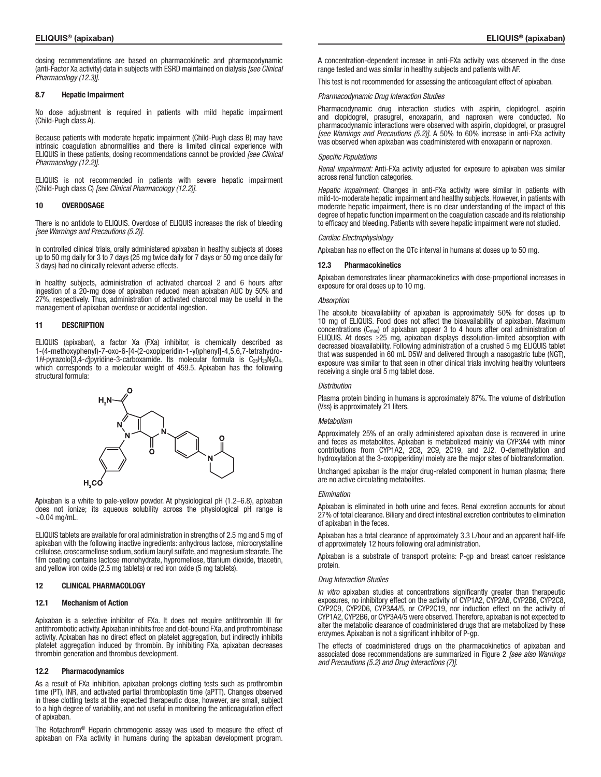dosing recommendations are based on pharmacokinetic and pharmacodynamic (anti-Factor Xa activity) data in subjects with ESRD maintained on dialysis *[see Clinical Pharmacology (12.3)]*.

#### 8.7 Hepatic Impairment

No dose adjustment is required in patients with mild hepatic impairment (Child-Pugh class A).

Because patients with moderate hepatic impairment (Child-Pugh class B) may have intrinsic coagulation abnormalities and there is limited clinical experience with ELIQUIS in these patients, dosing recommendations cannot be provided *[see Clinical Pharmacology (12.2)]*.

ELIQUIS is not recommended in patients with severe hepatic impairment (Child-Pugh class C) *[see Clinical Pharmacology (12.2)]*.

#### 10 OVERDOSAGE

There is no antidote to ELIQUIS. Overdose of ELIQUIS increases the risk of bleeding *[see Warnings and Precautions (5.2)]*.

In controlled clinical trials, orally administered apixaban in healthy subjects at doses up to 50 mg daily for 3 to 7 days (25 mg twice daily for 7 days or 50 mg once daily for 3 days) had no clinically relevant adverse effects.

In healthy subjects, administration of activated charcoal 2 and 6 hours after ingestion of a 20-mg dose of apixaban reduced mean apixaban AUC by 50% and 27%, respectively. Thus, administration of activated charcoal may be useful in the management of apixaban overdose or accidental ingestion.

#### 11 DESCRIPTION

ELIQUIS (apixaban), a factor Xa (FXa) inhibitor, is chemically described as 1-(4-methoxyphenyl)-7-oxo-6-[4-(2-oxopiperidin-1-yl)phenyl]-4,5,6,7-tetrahydro-1*H*-pyrazolo[3,4-*c*]pyridine-3-carboxamide. Its molecular formula is C25H25N5O4, which corresponds to a molecular weight of 459.5. Apixaban has the following structural formula:



Apixaban is a white to pale-yellow powder. At physiological pH (1.2–6.8), apixaban does not ionize; its aqueous solubility across the physiological pH range is  $~10.04$  mg/mL.

ELIQUIS tablets are available for oral administration in strengths of 2.5 mg and 5 mg of apixaban with the following inactive ingredients: anhydrous lactose, microcrystalline cellulose, croscarmellose sodium, sodium lauryl sulfate, and magnesium stearate. The film coating contains lactose monohydrate, hypromellose, titanium dioxide, triacetin, and yellow iron oxide (2.5 mg tablets) or red iron oxide (5 mg tablets).

### 12 CLINICAL PHARMACOLOGY

#### 12.1 Mechanism of Action

Apixaban is a selective inhibitor of FXa. It does not require antithrombin III for antithrombotic activity. Apixaban inhibits free and clot-bound FXa, and prothrombinase activity. Apixaban has no direct effect on platelet aggregation, but indirectly inhibits platelet aggregation induced by thrombin. By inhibiting FXa, apixaban decreases thrombin generation and thrombus development.

#### 12.2 Pharmacodynamics

As a result of FXa inhibition, apixaban prolongs clotting tests such as prothrombin time (PT), INR, and activated partial thromboplastin time (aPTT). Changes observed in these clotting tests at the expected therapeutic dose, however, are small, subject to a high degree of variability, and not useful in monitoring the anticoagulation effect of apixaban.

The Rotachrom® Heparin chromogenic assay was used to measure the effect of apixaban on FXa activity in humans during the apixaban development program.

ELIQUIS® (apixaban) ELIQUIS® (apixaban)

A concentration-dependent increase in anti-FXa activity was observed in the dose range tested and was similar in healthy subjects and patients with AF.

This test is not recommended for assessing the anticoagulant effect of apixaban.

#### *Pharmacodynamic Drug Interaction Studies*

Pharmacodynamic drug interaction studies with aspirin, clopidogrel, aspirin and clopidogrel, prasugrel, enoxaparin, and naproxen were conducted. No pharmacodynamic interactions were observed with aspirin, clopidogrel, or prasugrel *[see Warnings and Precautions (5.2)]*. A 50% to 60% increase in anti-FXa activity was observed when apixaban was coadministered with enoxaparin or naproxen.

#### *Specific Populations*

*Renal impairment:* Anti-FXa activity adjusted for exposure to apixaban was similar across renal function categories.

*Hepatic impairment:* Changes in anti-FXa activity were similar in patients with mild-to-moderate hepatic impairment and healthy subjects. However, in patients with moderate hepatic impairment, there is no clear understanding of the impact of this degree of hepatic function impairment on the coagulation cascade and its relationship to efficacy and bleeding. Patients with severe hepatic impairment were not studied.

#### *Cardiac Electrophysiology*

Apixaban has no effect on the QTc interval in humans at doses up to 50 mg.

#### 12.3 Pharmacokinetics

Apixaban demonstrates linear pharmacokinetics with dose-proportional increases in exposure for oral doses up to 10 mg.

### *Absorption*

The absolute bioavailability of apixaban is approximately 50% for doses up to 10 mg of ELIQUIS. Food does not affect the bioavailability of apixaban. Maximum concentrations (Cmax) of apixaban appear 3 to 4 hours after oral administration of ELIQUIS. At doses ≥25 mg, apixaban displays dissolution-limited absorption with decreased bioavailability. Following administration of a crushed 5 mg ELIQUIS tablet that was suspended in 60 mL D5W and delivered through a nasogastric tube (NGT), exposure was similar to that seen in other clinical trials involving healthy volunteers receiving a single oral 5 mg tablet dose.

#### *Distribution*

Plasma protein binding in humans is approximately 87%. The volume of distribution (Vss) is approximately 21 liters.

#### *Metabolism*

Approximately 25% of an orally administered apixaban dose is recovered in urine and feces as metabolites. Apixaban is metabolized mainly via CYP3A4 with minor contributions from CYP1A2, 2C8, 2C9, 2C19, and 2J2. O-demethylation and hydroxylation at the 3-oxopiperidinyl moiety are the major sites of biotransformation.

Unchanged apixaban is the major drug-related component in human plasma; there are no active circulating metabolites.

#### *Elimination*

Apixaban is eliminated in both urine and feces. Renal excretion accounts for about 27% of total clearance. Biliary and direct intestinal excretion contributes to elimination of apixaban in the feces.

Apixaban has a total clearance of approximately 3.3 L/hour and an apparent half-life of approximately 12 hours following oral administration.

Apixaban is a substrate of transport proteins: P-gp and breast cancer resistance protein.

#### *Drug Interaction Studies*

*In vitro* apixaban studies at concentrations significantly greater than therapeutic exposures, no inhibitory effect on the activity of CYP1A2, CYP2A6, CYP2B6, CYP2C8, CYP2C9, CYP2D6, CYP3A4/5, or CYP2C19, nor induction effect on the activity of CYP1A2, CYP2B6, or CYP3A4/5 were observed. Therefore, apixaban is not expected to alter the metabolic clearance of coadministered drugs that are metabolized by these enzymes. Apixaban is not a significant inhibitor of P-gp.

The effects of coadministered drugs on the pharmacokinetics of apixaban and associated dose recommendations are summarized in Figure 2 *[see also Warnings and Precautions (5.2) and Drug Interactions (7)]*.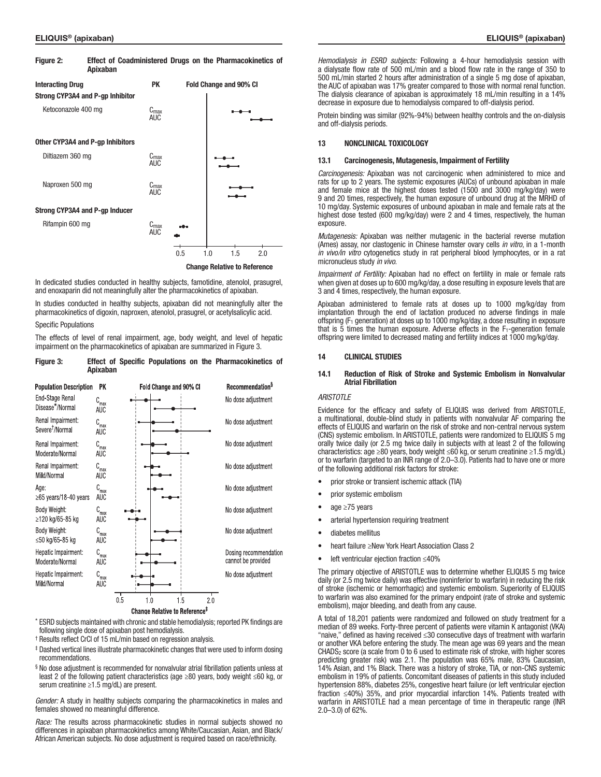| Figure 2:               | Apixaban                         |                                |     | Effect of Coadministered Drugs on the Pharmacokinetics of |
|-------------------------|----------------------------------|--------------------------------|-----|-----------------------------------------------------------|
| <b>Interacting Drug</b> |                                  | <b>PK</b>                      |     | Fold Change and 90% CI                                    |
|                         | Strong CYP3A4 and P-gp Inhibitor |                                |     |                                                           |
| Ketoconazole 400 mg     |                                  | $C_{\text{max}}$<br><b>AUC</b> |     |                                                           |
|                         | Other CYP3A4 and P-gp Inhibitors |                                |     |                                                           |
| Diltiazem 360 mg        |                                  | $C_{\text{max}}$<br><b>AUC</b> |     |                                                           |
| Naproxen 500 mg         |                                  | $C_{\text{max}}$<br><b>AUC</b> |     |                                                           |
|                         | Strong CYP3A4 and P-gp Inducer   |                                |     |                                                           |
| Rifampin 600 mg         |                                  | $C_{\text{max}}$<br><b>AUC</b> |     |                                                           |
|                         |                                  |                                | 0.5 | 1.5<br>1.0<br>2.0                                         |

#### Change Relative to Reference

In dedicated studies conducted in healthy subjects, famotidine, atenolol, prasugrel, and enoxaparin did not meaningfully alter the pharmacokinetics of apixaban.

In studies conducted in healthy subjects, apixaban did not meaningfully alter the pharmacokinetics of digoxin, naproxen, atenolol, prasugrel, or acetylsalicylic acid.

#### Specific Populations

The effects of level of renal impairment, age, body weight, and level of hepatic impairment on the pharmacokinetics of apixaban are summarized in Figure 3.

#### Figure 3: Effect of Specific Populations on the Pharmacokinetics of **Anixahan**



- \* ESRD subjects maintained with chronic and stable hemodialysis; reported PK findings are following single dose of apixaban post hemodialysis.
- † Results reflect CrCl of 15 mL/min based on regression analysis.
- ‡ Dashed vertical lines illustrate pharmacokinetic changes that were used to inform dosing recommendations.
- § No dose adjustment is recommended for nonvalvular atrial fibrillation patients unless at least 2 of the following patient characteristics (age ≥80 years, body weight ≤60 kg, or serum creatinine ≥1.5 mg/dL) are present.

*Gender:* A study in healthy subjects comparing the pharmacokinetics in males and females showed no meaningful difference.

*Race:* The results across pharmacokinetic studies in normal subjects showed no differences in apixaban pharmacokinetics among White/Caucasian, Asian, and Black/ African American subjects. No dose adjustment is required based on race/ethnicity.

*Hemodialysis in ESRD subjects:* Following a 4-hour hemodialysis session with a dialysate flow rate of 500 mL/min and a blood flow rate in the range of 350 to 500 mL/min started 2 hours after administration of a single 5 mg dose of apixaban, the AUC of apixaban was 17% greater compared to those with normal renal function. The dialysis clearance of apixaban is approximately 18 mL/min resulting in a 14% decrease in exposure due to hemodialysis compared to off-dialysis period.

Protein binding was similar (92%-94%) between healthy controls and the on-dialysis and off-dialysis periods.

#### 13 NONCLINICAL TOXICOLOGY

### 13.1 Carcinogenesis, Mutagenesis, Impairment of Fertility

*Carcinogenesis:* Apixaban was not carcinogenic when administered to mice and rats for up to 2 years. The systemic exposures (AUCs) of unbound apixaban in male and female mice at the highest doses tested (1500 and 3000 mg/kg/day) were 9 and 20 times, respectively, the human exposure of unbound drug at the MRHD of 10 mg/day. Systemic exposures of unbound apixaban in male and female rats at the highest dose tested (600 mg/kg/day) were 2 and 4 times, respectively, the human exposure.

*Mutagenesis:* Apixaban was neither mutagenic in the bacterial reverse mutation (Ames) assay, nor clastogenic in Chinese hamster ovary cells *in vitro*, in a 1-month *in vivo/in vitro* cytogenetics study in rat peripheral blood lymphocytes, or in a rat micronucleus study *in vivo*.

*Impairment of Fertility:* Apixaban had no effect on fertility in male or female rats when given at doses up to 600 mg/kg/day, a dose resulting in exposure levels that are 3 and 4 times, respectively, the human exposure.

Apixaban administered to female rats at doses up to 1000 mg/kg/day from implantation through the end of lactation produced no adverse findings in male offspring ( $F_1$  generation) at doses up to 1000 mg/kg/day, a dose resulting in exposure that is 5 times the human exposure. Adverse effects in the  $F_1$ -generation female offspring were limited to decreased mating and fertility indices at 1000 mg/kg/day.

#### 14 CLINICAL STUDIES

#### 14.1 Reduction of Risk of Stroke and Systemic Embolism in Nonvalvular Atrial Fibrillation

#### *ARISTOTLE*

Evidence for the efficacy and safety of ELIQUIS was derived from ARISTOTLE, a multinational, double-blind study in patients with nonvalvular AF comparing the effects of ELIQUIS and warfarin on the risk of stroke and non-central nervous system (CNS) systemic embolism. In ARISTOTLE, patients were randomized to ELIQUIS 5 mg orally twice daily (or 2.5 mg twice daily in subjects with at least 2 of the following characteristics: age ≥80 years, body weight ≤60 kg, or serum creatinine ≥1.5 mg/dL) or to warfarin (targeted to an INR range of 2.0–3.0). Patients had to have one or more of the following additional risk factors for stroke:

- prior stroke or transient ischemic attack (TIA)
- prior systemic embolism
- age ≥75 years
- arterial hypertension requiring treatment
- diabetes mellitus
- heart failure ≥New York Heart Association Class 2
- left ventricular ejection fraction ≤40%

The primary objective of ARISTOTLE was to determine whether ELIQUIS 5 mg twice daily (or 2.5 mg twice daily) was effective (noninferior to warfarin) in reducing the risk of stroke (ischemic or hemorrhagic) and systemic embolism. Superiority of ELIQUIS to warfarin was also examined for the primary endpoint (rate of stroke and systemic embolism), major bleeding, and death from any cause.

A total of 18,201 patients were randomized and followed on study treatment for a median of 89 weeks. Forty-three percent of patients were vitamin K antagonist (VKA) "naive," defined as having received ≤30 consecutive days of treatment with warfarin or another VKA before entering the study. The mean age was 69 years and the mean CHADS<sub>2</sub> score (a scale from 0 to 6 used to estimate risk of stroke, with higher scores predicting greater risk) was 2.1. The population was 65% male, 83% Caucasian, 14% Asian, and 1% Black. There was a history of stroke, TIA, or non-CNS systemic embolism in 19% of patients. Concomitant diseases of patients in this study included hypertension 88%, diabetes 25%, congestive heart failure (or left ventricular ejection fraction ≤40%) 35%, and prior myocardial infarction 14%. Patients treated with warfarin in ARISTOTLE had a mean percentage of time in therapeutic range (INR 2.0–3.0) of 62%.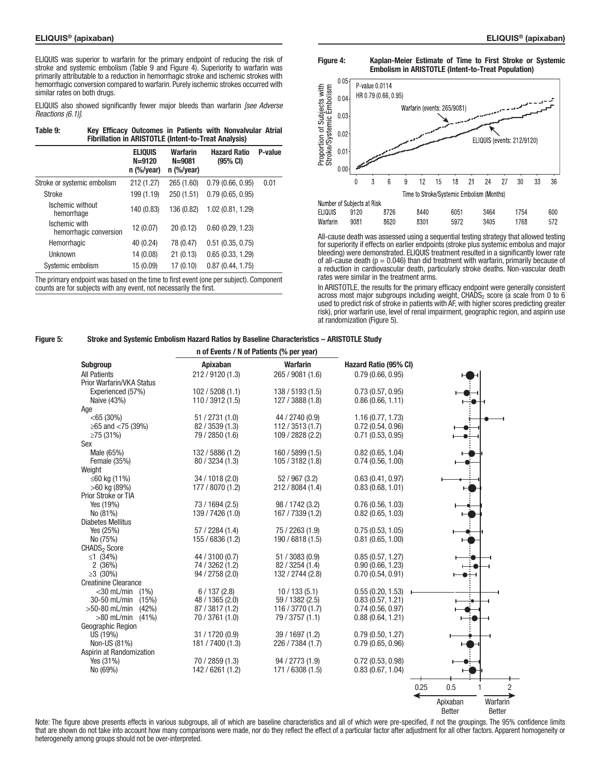ELIQUIS was superior to warfarin for the primary endpoint of reducing the risk of stroke and systemic embolism (Table 9 and Figure 4). Superiority to warfarin was primarily attributable to a reduction in hemorrhagic stroke and ischemic strokes with hemorrhagic conversion compared to warfarin. Purely ischemic strokes occurred with similar rates on both drugs.

ELIQUIS also showed significantly fewer major bleeds than warfarin *[see Adverse Reactions (6.1)]*.

| Table 9: | Key Efficacy Outcomes in Patients with Nonvalvular Atrial   |  |  |  |
|----------|-------------------------------------------------------------|--|--|--|
|          | <b>Fibrillation in ARISTOTLE (Intent-to-Treat Analysis)</b> |  |  |  |

|                                         | <b>ELIQUIS</b><br>$N = 9120$<br>$n$ (%/year) | Warfarin<br>$N = 9081$<br>$n$ (%/year) | <b>Hazard Ratio</b><br>$(95% \text{ CI})$ | P-value |
|-----------------------------------------|----------------------------------------------|----------------------------------------|-------------------------------------------|---------|
| Stroke or systemic embolism             | 212 (1.27)                                   | 265 (1.60)                             | 0.79(0.66, 0.95)                          | 0.01    |
| <b>Stroke</b>                           | 199 (1.19)                                   | 250 (1.51)                             | 0.79(0.65, 0.95)                          |         |
| Ischemic without<br>hemorrhage          | 140 (0.83)                                   | 136 (0.82)                             | 1.02 (0.81, 1.29)                         |         |
| Ischemic with<br>hemorrhagic conversion | 12 (0.07)                                    | 20(0.12)                               | 0.60(0.29, 1.23)                          |         |
| Hemorrhagic                             | 40 (0.24)                                    | 78 (0.47)                              | $0.51$ $(0.35, 0.75)$                     |         |
| <b>Unknown</b>                          | 14 (0.08)                                    | 21(0.13)                               | 0.65(0.33, 1.29)                          |         |
| Systemic embolism                       | 15 (0.09)                                    | 17 (0.10)                              | 0.87(0.44, 1.75)                          |         |

The primary endpoint was based on the time to first event (one per subject). Component counts are for subjects with any event, not necessarily the first.





All-cause death was assessed using a sequential testing strategy that allowed testing for superiority if effects on earlier endpoints (stroke plus systemic embolus and major bleeding) were demonstrated. ELIQUIS treatment resulted in a significantly lower rate of all-cause death ( $p = 0.046$ ) than did treatment with warfarin, primarily because of a reduction in cardiovascular death, particularly stroke deaths. Non-vascular death rates were similar in the treatment arms.

In ARISTOTLE, the results for the primary efficacy endpoint were generally consistent across most major subgroups including weight,  $CHADS<sub>2</sub>$  score (a scale from 0 to 6 used to predict risk of stroke in patients with AF, with higher scores predicting greater risk), prior warfarin use, level of renal impairment, geographic region, and aspirin use at randomization (Figure 5).

#### Figure 5: Stroke and Systemic Embolism Hazard Ratios by Baseline Characteristics – ARISTOTLE Study

|                                      |                  | n of Events / N of Patients (% per year) |                       |                               |
|--------------------------------------|------------------|------------------------------------------|-----------------------|-------------------------------|
| <b>Subgroup</b>                      | Apixaban         | <b>Warfarin</b>                          | Hazard Ratio (95% CI) |                               |
| <b>All Patients</b>                  | 212 / 9120 (1.3) | 265 / 9081 (1.6)                         | 0.79(0.66, 0.95)      |                               |
| Prior Warfarin/VKA Status            |                  |                                          |                       |                               |
| Experienced (57%)                    | 102 / 5208 (1.1) | 138 / 5193 (1.5)                         | 0.73(0.57, 0.95)      |                               |
| Naive (43%)                          | 110 / 3912 (1.5) | 127 / 3888 (1.8)                         | 0.86(0.66, 1.11)      |                               |
| Age                                  |                  |                                          |                       |                               |
| $<$ 65 (30%)                         | 51 / 2731 (1.0)  | 44 / 2740 (0.9)                          | 1.16(0.77, 1.73)      |                               |
| ≥65 and $<$ 75 (39%)                 | 82 / 3539 (1.3)  | 112 / 3513 (1.7)                         | 0.72(0.54, 0.96)      |                               |
| $\geq$ 75 (31%)                      | 79 / 2850 (1.6)  | 109 / 2828 (2.2)                         | 0.71(0.53, 0.95)      |                               |
| Sex                                  |                  |                                          |                       |                               |
| Male (65%)                           | 132 / 5886 (1.2) | 160 / 5899 (1.5)                         | 0.82(0.65, 1.04)      |                               |
| Female (35%)                         | 80 / 3234 (1.3)  | 105 / 3182 (1.8)                         | 0.74(0.56, 1.00)      |                               |
| Weight                               |                  |                                          |                       |                               |
| ≤60 kg (11%)                         | 34 / 1018 (2.0)  | 52 / 967 (3.2)                           | 0.63(0.41, 0.97)      |                               |
| $>60$ kg (89%)                       | 177 / 8070 (1.2) | 212 / 8084 (1.4)                         | 0.83(0.68, 1.01)      |                               |
| Prior Stroke or TIA                  |                  |                                          |                       |                               |
| Yes (19%)                            | 73 / 1694 (2.5)  | 98 / 1742 (3.2)                          | 0.76(0.56, 1.03)      |                               |
|                                      |                  |                                          |                       |                               |
| No (81%)<br><b>Diabetes Mellitus</b> | 139 / 7426 (1.0) | 167 / 7339 (1.2)                         | 0.82(0.65, 1.03)      |                               |
|                                      |                  |                                          |                       |                               |
| Yes (25%)                            | 57/2284(1.4)     | 75 / 2263 (1.9)                          | 0.75(0.53, 1.05)      |                               |
| No (75%)                             | 155 / 6836 (1.2) | 190 / 6818 (1.5)                         | 0.81(0.65, 1.00)      |                               |
| CHADS <sub>2</sub> Score             |                  |                                          |                       |                               |
| ≤1 $(34%)$                           | 44 / 3100 (0.7)  | 51 / 3083 (0.9)                          | 0.85(0.57, 1.27)      |                               |
| 2(36%)                               | 74 / 3262 (1.2)  | 82 / 3254 (1.4)                          | 0.90(0.66, 1.23)      |                               |
| $\geq 3$ (30%)                       | 94 / 2758 (2.0)  | 132 / 2744 (2.8)                         | 0.70(0.54, 0.91)      |                               |
| <b>Creatinine Clearance</b>          |                  |                                          |                       |                               |
| $<$ 30 mL/min $(1%)$                 | 6/137(2.8)       | 10/133(5.1)                              | 0.55(0.20, 1.53)      |                               |
| 30-50 mL/min<br>(15%)                | 48 / 1365 (2.0)  | 59 / 1382 (2.5)                          | 0.83(0.57, 1.21)      |                               |
| $>50-80$ mL/min<br>(42%)             | 87 / 3817 (1.2)  | 116 / 3770 (1.7)                         | 0.74(0.56, 0.97)      |                               |
| $>80$ mL/min<br>(41%)                | 70 / 3761 (1.0)  | 79 / 3757 (1.1)                          | 0.88(0.64, 1.21)      |                               |
| Geographic Region                    |                  |                                          |                       |                               |
| US (19%)                             | 31 / 1720 (0.9)  | 39 / 1697 (1.2)                          | 0.79(0.50, 1.27)      |                               |
| Non-US (81%)                         | 181 / 7400 (1.3) | 226 / 7384 (1.7)                         | 0.79(0.65, 0.96)      |                               |
| Aspirin at Randomization             |                  |                                          |                       |                               |
| Yes (31%)                            | 70 / 2859 (1.3)  | 94 / 2773 (1.9)                          | 0.72(0.53, 0.98)      |                               |
| No (69%)                             | 142 / 6261 (1.2) | 171 / 6308 (1.5)                         | 0.83(0.67, 1.04)      |                               |
|                                      |                  |                                          |                       | 0.5<br>$\overline{2}$<br>0.25 |
|                                      |                  |                                          |                       |                               |
|                                      |                  |                                          |                       | Apixaban<br>Warfarin          |

**Better** Better

Note: The figure above presents effects in various subgroups, all of which are baseline characteristics and all of which were pre-specified, if not the groupings. The 95% confidence limits that are shown do not take into account how many comparisons were made, nor do they reflect the effect of a particular factor after adjustment for all other factors. Apparent homogeneity or heterogeneity among groups should not be over-interpreted.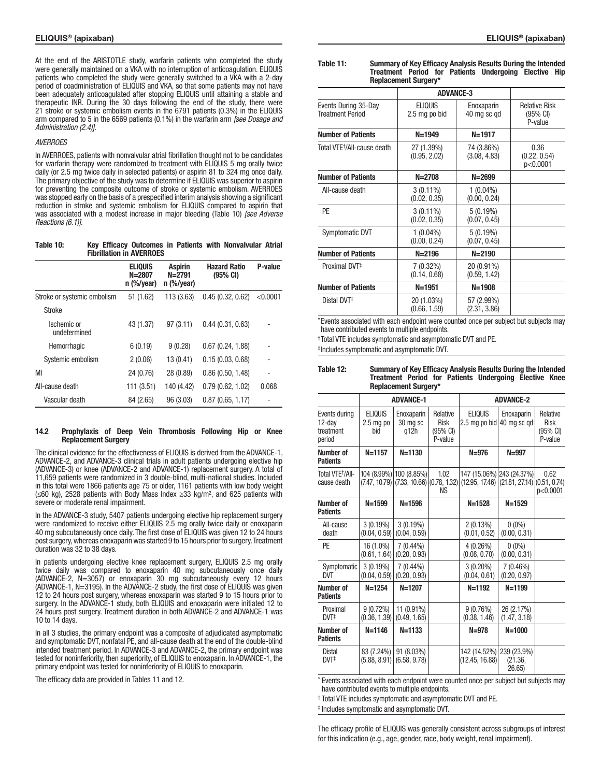At the end of the ARISTOTLE study, warfarin patients who completed the study were generally maintained on a VKA with no interruption of anticoagulation. ELIQUIS patients who completed the study were generally switched to a VKA with a 2-day period of coadministration of ELIQUIS and VKA, so that some patients may not have been adequately anticoagulated after stopping ELIQUIS until attaining a stable and therapeutic INR. During the 30 days following the end of the study, there were 21 stroke or systemic embolism events in the 6791 patients (0.3%) in the ELIQUIS arm compared to 5 in the 6569 patients (0.1%) in the warfarin arm *[see Dosage and Administration (2.4)]*.

#### *AVERROES*

In AVERROES, patients with nonvalvular atrial fibrillation thought not to be candidates for warfarin therapy were randomized to treatment with ELIQUIS 5 mg orally twice daily (or 2.5 mg twice daily in selected patients) or aspirin 81 to 324 mg once daily. The primary objective of the study was to determine if ELIQUIS was superior to aspirin for preventing the composite outcome of stroke or systemic embolism. AVERROES was stopped early on the basis of a prespecified interim analysis showing a significant reduction in stroke and systemic embolism for ELIQUIS compared to aspirin that was associated with a modest increase in major bleeding (Table 10) *[see Adverse Reactions (6.1)]*.

| Table 10: |  |                                 |  | Key Efficacy Outcomes in Patients with Nonvalvular Atrial |  |
|-----------|--|---------------------------------|--|-----------------------------------------------------------|--|
|           |  | <b>Fibrillation in AVERROES</b> |  |                                                           |  |

|                             | <b>ELIQUIS</b><br>$N = 2807$<br>$n$ (%/year) | <b>Aspirin</b><br>$N = 2791$<br>$n$ (%/year) | <b>Hazard Ratio</b><br>$(95% \text{ CI})$ | P-value  |
|-----------------------------|----------------------------------------------|----------------------------------------------|-------------------------------------------|----------|
| Stroke or systemic embolism | 51 (1.62)                                    | 113 (3.63)                                   | 0.45(0.32, 0.62)                          | < 0.0001 |
| <b>Stroke</b>               |                                              |                                              |                                           |          |
| Ischemic or<br>undetermined | 43 (1.37)                                    | 97(3.11)                                     | 0.44(0.31, 0.63)                          |          |
| Hemorrhagic                 | 6(0.19)                                      | 9(0.28)                                      | 0.67(0.24, 1.88)                          |          |
| Systemic embolism           | 2(0.06)                                      | 13 (0.41)                                    | 0.15(0.03, 0.68)                          |          |
| MI                          | 24 (0.76)                                    | 28 (0.89)                                    | 0.86(0.50, 1.48)                          | ٠        |
| All-cause death             | 111 (3.51)                                   | 140 (4.42)                                   | 0.79(0.62, 1.02)                          | 0.068    |
| Vascular death              | 84 (2.65)                                    | 96 (3.03)                                    | 0.87(0.65, 1.17)                          |          |

#### 14.2 Prophylaxis of Deep Vein Thrombosis Following Hip or Knee Replacement Surgery

The clinical evidence for the effectiveness of ELIQUIS is derived from the ADVANCE-1, ADVANCE-2, and ADVANCE-3 clinical trials in adult patients undergoing elective hip (ADVANCE-3) or knee (ADVANCE-2 and ADVANCE-1) replacement surgery. A total of 11,659 patients were randomized in 3 double-blind, multi-national studies. Included in this total were 1866 patients age 75 or older, 1161 patients with low body weight (≤60 kg), 2528 patients with Body Mass Index ≥33 kg/m2, and 625 patients with severe or moderate renal impairment.

In the ADVANCE-3 study, 5407 patients undergoing elective hip replacement surgery were randomized to receive either ELIQUIS 2.5 mg orally twice daily or enoxaparin 40 mg subcutaneously once daily. The first dose of ELIQUIS was given 12 to 24 hours post surgery, whereas enoxaparin was started 9 to 15 hours prior to surgery. Treatment duration was 32 to 38 days.

In patients undergoing elective knee replacement surgery, ELIQUIS 2.5 mg orally twice daily was compared to enoxaparin 40 mg subcutaneously once daily (ADVANCE-2, N=3057) or enoxaparin 30 mg subcutaneously every 12 hours (ADVANCE-1, N=3195). In the ADVANCE-2 study, the first dose of ELIQUIS was given 12 to 24 hours post surgery, whereas enoxaparin was started 9 to 15 hours prior to surgery. In the ADVANCE-1 study, both ELIQUIS and enoxaparin were initiated 12 to 24 hours post surgery. Treatment duration in both ADVANCE-2 and ADVANCE-1 was 10 to 14 days.

In all 3 studies, the primary endpoint was a composite of adjudicated asymptomatic and symptomatic DVT, nonfatal PE, and all-cause death at the end of the double-blind intended treatment period. In ADVANCE-3 and ADVANCE-2, the primary endpoint was tested for noninferiority, then superiority, of ELIQUIS to enoxaparin. In ADVANCE-1, the primary endpoint was tested for noninferiority of ELIQUIS to enoxaparin.

The efficacy data are provided in Tables 11 and 12.

### Table 11: Summary of Key Efficacy Analysis Results During the Intended Treatment Period for Patients Undergoing Elective Hip Replacement Surgery\*

|                                                 | <b>ADVANCE-3</b>                |                             |                                                       |
|-------------------------------------------------|---------------------------------|-----------------------------|-------------------------------------------------------|
| Events During 35-Day<br><b>Treatment Period</b> | <b>ELIQUIS</b><br>2.5 mg po bid | Enoxaparin<br>40 mg sc gd   | <b>Relative Risk</b><br>$(95% \text{ Cl})$<br>P-value |
| <b>Number of Patients</b>                       | $N = 1949$                      | $N = 1917$                  |                                                       |
| Total VTE <sup>+</sup> /All-cause death         | 27 (1.39%)<br>(0.95, 2.02)      | 74 (3.86%)<br>(3.08, 4.83)  | 0.36<br>(0.22, 0.54)<br>p<0.0001                      |
| <b>Number of Patients</b>                       | $N = 2708$                      | $N = 2699$                  |                                                       |
| All-cause death                                 | $3(0.11\%)$<br>(0.02, 0.35)     | $1(0.04\%)$<br>(0.00, 0.24) |                                                       |
| PE                                              | $3(0.11\%)$<br>(0.02, 0.35)     | 5(0.19%)<br>(0.07, 0.45)    |                                                       |
| Symptomatic DVT                                 | $1(0.04\%)$<br>(0.00, 0.24)     | 5(0.19%)<br>(0.07, 0.45)    |                                                       |
| <b>Number of Patients</b>                       | $N = 2196$                      | $N = 2190$                  |                                                       |
| Proximal DVT <sup>‡</sup>                       | $7(0.32\%)$<br>(0.14, 0.68)     | 20 (0.91%)<br>(0.59, 1.42)  |                                                       |
| <b>Number of Patients</b>                       | $N = 1951$                      | $N = 1908$                  |                                                       |
| Distal DVT <sup>#</sup>                         | 20 (1.03%)<br>(0.66, 1.59)      | 57 (2.99%)<br>(2.31, 3.86)  |                                                       |

\*Events associated with each endpoint were counted once per subject but subjects may have contributed events to multiple endpoints.

†Total VTE includes symptomatic and asymptomatic DVT and PE.

‡Includes symptomatic and asymptomatic DVT.

| Table 12: |                             |  | <b>Summary of Key Efficacy Analysis Results During the Intended</b> |  |
|-----------|-----------------------------|--|---------------------------------------------------------------------|--|
|           |                             |  | Treatment Period for Patients Undergoing Elective Knee              |  |
|           | <b>Replacement Surgery*</b> |  |                                                                     |  |

| nghiangingin daryar k                          |                                      |                                                                           |                                                |                                                                               |                            |                                                |  |
|------------------------------------------------|--------------------------------------|---------------------------------------------------------------------------|------------------------------------------------|-------------------------------------------------------------------------------|----------------------------|------------------------------------------------|--|
|                                                |                                      | <b>ADVANCE-1</b>                                                          |                                                | <b>ADVANCE-2</b>                                                              |                            |                                                |  |
| Events during<br>12-dav<br>treatment<br>period | <b>ELIQUIS</b><br>$2.5$ mg po<br>bid | Enoxaparin<br>30 mg sc<br>q12h                                            | Relative<br><b>Risk</b><br>(95% CI)<br>P-value | <b>ELIQUIS</b><br>$2.5$ mg po bid                                             | Enoxaparin<br>40 ma sc ad  | Relative<br><b>Risk</b><br>(95% CI)<br>P-value |  |
| Number of<br><b>Patients</b>                   | $N = 1157$                           | $N = 1130$                                                                |                                                | $N = 976$                                                                     | $N = 997$                  |                                                |  |
| Total VTE <sup>+</sup> /All-<br>cause death    |                                      | 104 (8.99%) 100 (8.85%)<br>$(7.47, 10.79)$ $(7.33, 10.66)$ $(0.78, 1.32)$ | 1.02<br>ΝS                                     | 147 (15.06%) 243 (24.37%)<br>$(12.95, 17.46)$ $(21.81, 27.14)$ $(0.51, 0.74)$ |                            | 0.62<br>p<0.0001                               |  |
| Number of<br><b>Patients</b>                   | $N = 1599$                           | $N = 1596$                                                                |                                                | $N = 1528$                                                                    | $N = 1529$                 |                                                |  |
| All-cause<br>death                             | $3(0.19\%)$<br>(0.04, 0.59)          | $3(0.19\%)$<br>(0.04, 0.59)                                               |                                                | 2(0.13%)<br>(0.01, 0.52)                                                      | $0(0\%)$<br>(0.00, 0.31)   |                                                |  |
| PE                                             | 16 (1.0%)<br>(0.61, 1.64)            | $7(0.44\%)$<br>(0.20, 0.93)                                               |                                                | 4(0.26%)<br>(0.08, 0.70)                                                      | $0(0\%)$<br>(0.00, 0.31)   |                                                |  |
| Symptomatic<br><b>DVT</b>                      | 3(0.19%)<br>(0.04, 0.59)             | $7(0.44\%)$<br>(0.20, 0.93)                                               |                                                | $3(0.20\%)$<br>(0.04, 0.61)                                                   | 7 (0.46%)<br>(0.20, 0.97)  |                                                |  |
| Number of<br><b>Patients</b>                   | $N = 1254$                           | $N = 1207$                                                                |                                                | $N = 1192$                                                                    | $N = 1199$                 |                                                |  |
| Proximal<br>DVT <sup>+</sup>                   | $9(0.72\%)$<br>(0.36, 1.39)          | 11 (0.91%)<br>(0.49, 1.65)                                                |                                                | 9(0.76%)<br>(0.38, 1.46)                                                      | 26 (2.17%)<br>(1.47, 3.18) |                                                |  |
| Number of<br><b>Patients</b>                   | $N = 1146$                           | $N = 1133$                                                                |                                                | $N = 978$                                                                     | $N = 1000$                 |                                                |  |
| <b>Distal</b><br>$DVT^{\ddagger}$              | 83 (7.24%)<br>(5.88, 8.91)           | 91 (8.03%)<br>(6.58, 9.78)                                                |                                                | 142 (14.52%) 239 (23.9%)<br>(12.45, 16.88)                                    | (21.36,<br>26.65           |                                                |  |

\* Events associated with each endpoint were counted once per subject but subjects may have contributed events to multiple endpoints.

† Total VTE includes symptomatic and asymptomatic DVT and PE.

‡ Includes symptomatic and asymptomatic DVT.

The efficacy profile of ELIQUIS was generally consistent across subgroups of interest for this indication (e.g., age, gender, race, body weight, renal impairment).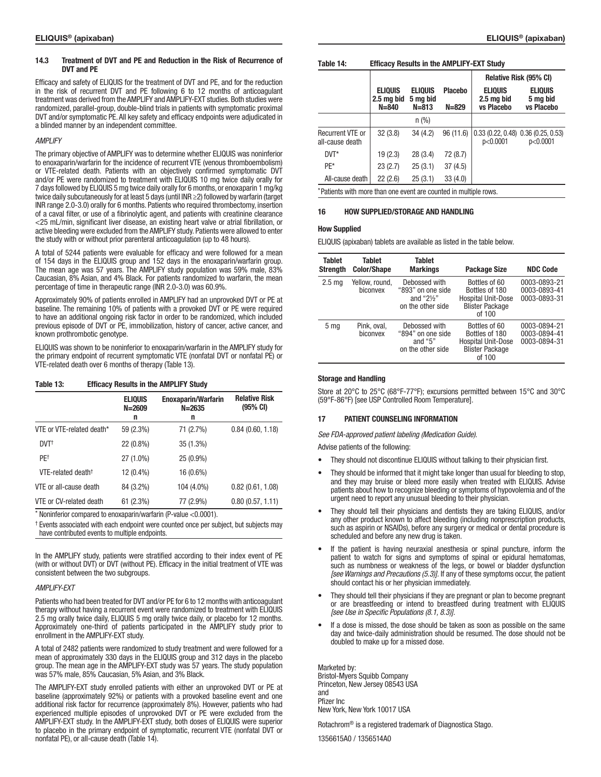#### 14.3 Treatment of DVT and PE and Reduction in the Risk of Recurrence of DVT and PE

Efficacy and safety of ELIQUIS for the treatment of DVT and PE, and for the reduction in the risk of recurrent DVT and PE following 6 to 12 months of anticoagulant treatment was derived from the AMPLIFY and AMPLIFY-EXT studies. Both studies were randomized, parallel-group, double-blind trials in patients with symptomatic proximal DVT and/or symptomatic PE. All key safety and efficacy endpoints were adjudicated in a blinded manner by an independent committee.

## *AMPLIFY*

The primary objective of AMPLIFY was to determine whether ELIQUIS was noninferior to enoxaparin/warfarin for the incidence of recurrent VTE (venous thromboembolism) or VTE-related death. Patients with an objectively confirmed symptomatic DVT and/or PE were randomized to treatment with ELIQUIS 10 mg twice daily orally for 7 days followed by ELIQUIS 5 mg twice daily orally for 6 months, or enoxaparin 1 mg/kg twice daily subcutaneously for at least 5 days (until INR ≥2) followed by warfarin (target INR range 2.0-3.0) orally for 6 months. Patients who required thrombectomy, insertion of a caval filter, or use of a fibrinolytic agent, and patients with creatinine clearance <25 mL/min, significant liver disease, an existing heart valve or atrial fibrillation, or active bleeding were excluded from the AMPLIFY study. Patients were allowed to enter the study with or without prior parenteral anticoagulation (up to 48 hours).

A total of 5244 patients were evaluable for efficacy and were followed for a mean of 154 days in the ELIQUIS group and 152 days in the enoxaparin/warfarin group. The mean age was 57 years. The AMPLIFY study population was 59% male, 83% Caucasian, 8% Asian, and 4% Black. For patients randomized to warfarin, the mean percentage of time in therapeutic range (INR 2.0-3.0) was 60.9%.

Approximately 90% of patients enrolled in AMPLIFY had an unprovoked DVT or PE at baseline. The remaining 10% of patients with a provoked DVT or PE were required to have an additional ongoing risk factor in order to be randomized, which included previous episode of DVT or PE, immobilization, history of cancer, active cancer, and known prothrombotic genotype.

ELIQUIS was shown to be noninferior to enoxaparin/warfarin in the AMPLIFY study for the primary endpoint of recurrent symptomatic VTE (nonfatal DVT or nonfatal PE) or VTE-related death over 6 months of therapy (Table 13).

## Table 13: Efficacy Results in the AMPLIFY Study

|                                | <b>ELIQUIS</b><br>$N = 2609$<br>n | <b>Enoxaparin/Warfarin</b><br>$N = 2635$<br>n | <b>Relative Risk</b><br>$(95% \text{ Cl})$ |
|--------------------------------|-----------------------------------|-----------------------------------------------|--------------------------------------------|
| VTE or VTE-related death*      | 59 (2.3%)                         | 71 (2.7%)                                     | 0.84(0.60, 1.18)                           |
| $DVT^{\dagger}$                | 22 (0.8%)                         | 35 (1.3%)                                     |                                            |
| PF <sup>+</sup>                | 27 (1.0%)                         | $25(0.9\%)$                                   |                                            |
| VTF-related death <sup>+</sup> | 12 (0.4%)                         | 16 (0.6%)                                     |                                            |
| VTE or all-cause death         | 84 (3.2%)                         | 104 (4.0%)                                    | 0.82(0.61, 1.08)                           |
| VTE or CV-related death        | 61 (2.3%)                         | 77 (2.9%)                                     | 0.80(0.57, 1.11)                           |

\* Noninferior compared to enoxaparin/warfarin (P-value <0.0001).

† Events associated with each endpoint were counted once per subject, but subjects may have contributed events to multiple endpoints.

In the AMPLIFY study, patients were stratified according to their index event of PE (with or without DVT) or DVT (without PE). Efficacy in the initial treatment of VTE was consistent between the two subgroups.

#### *AMPLIFY-EXT*

Patients who had been treated for DVT and/or PE for 6 to 12 months with anticoagulant therapy without having a recurrent event were randomized to treatment with ELIQUIS 2.5 mg orally twice daily, ELIQUIS 5 mg orally twice daily, or placebo for 12 months. Approximately one-third of patients participated in the AMPLIFY study prior to enrollment in the AMPLIFY-EXT study.

A total of 2482 patients were randomized to study treatment and were followed for a mean of approximately 330 days in the ELIQUIS group and 312 days in the placebo group. The mean age in the AMPLIFY-EXT study was 57 years. The study population was 57% male, 85% Caucasian, 5% Asian, and 3% Black.

The AMPLIFY-EXT study enrolled patients with either an unprovoked DVT or PE at baseline (approximately 92%) or patients with a provoked baseline event and one additional risk factor for recurrence (approximately 8%). However, patients who had experienced multiple episodes of unprovoked DVT or PE were excluded from the AMPLIFY-EXT study. In the AMPLIFY-EXT study, both doses of ELIQUIS were superior to placebo in the primary endpoint of symptomatic, recurrent VTE (nonfatal DVT or nonfatal PE), or all-cause death (Table 14).

#### Table 14: Efficacy Results in the AMPLIFY-EXT Study

|                                                                  |                                           |                                         |                             | Relative Risk (95% CI)                     |                                                   |
|------------------------------------------------------------------|-------------------------------------------|-----------------------------------------|-----------------------------|--------------------------------------------|---------------------------------------------------|
|                                                                  | <b>ELIQUIS</b><br>2.5 mg bid<br>$N = 840$ | <b>ELIQUIS</b><br>5 mg bid<br>$N = 813$ | <b>Placebo</b><br>$N = 829$ | <b>ELIQUIS</b><br>2.5 mg bid<br>vs Placebo | <b>ELIQUIS</b><br>5 mg bid<br>vs Placebo          |
|                                                                  |                                           | $n$ (%)                                 |                             |                                            |                                                   |
| <b>Recurrent VTE or</b><br>all-cause death                       | 32(3.8)                                   | 34(4.2)                                 | 96 (11.6)                   | p<0.0001                                   | $0.33(0.22, 0.48)$ $0.36(0.25, 0.53)$<br>p<0.0001 |
| $DVT^*$                                                          | 19(2.3)                                   | 28(3.4)                                 | 72 (8.7)                    |                                            |                                                   |
| PF*                                                              | 23(2.7)                                   | 25(3.1)                                 | 37(4.5)                     |                                            |                                                   |
| All-cause death                                                  | 22(2.6)                                   | 25(3.1)                                 | 33(4.0)                     |                                            |                                                   |
| *Patients with more than one event are counted in multiple rows. |                                           |                                         |                             |                                            |                                                   |

# 16 HOW SUPPLIED/STORAGE AND HANDLING

### How Supplied

ELIQUIS (apixaban) tablets are available as listed in the table below.

| Tablet<br><b>Strength</b> | Tablet<br><b>Color/Shape</b> | Tablet<br><b>Markings</b>                                                         | <b>Package Size</b>                                                                              | <b>NDC Code</b>                              |
|---------------------------|------------------------------|-----------------------------------------------------------------------------------|--------------------------------------------------------------------------------------------------|----------------------------------------------|
| 2.5 <sub>mq</sub>         | Yellow, round,<br>biconvex   | Debossed with<br>"893" on one side<br>and " $2\frac{1}{2}$ "<br>on the other side | Bottles of 60<br>Bottles of 180<br><b>Hospital Unit-Dose</b><br><b>Blister Package</b><br>of 100 | 0003-0893-21<br>0003-0893-41<br>0003-0893-31 |
| 5 <sub>mq</sub>           | Pink, oval,<br>biconvex      | Debossed with<br>"894" on one side<br>and " $5"$<br>on the other side             | Bottles of 60<br>Bottles of 180<br><b>Hospital Unit-Dose</b><br><b>Blister Package</b><br>of 100 | 0003-0894-21<br>0003-0894-41<br>0003-0894-31 |

### Storage and Handling

Store at 20°C to 25°C (68°F-77°F); excursions permitted between 15°C and 30°C (59°F-86°F) [see USP Controlled Room Temperature].

# 17 PATIENT COUNSELING INFORMATION

*See FDA-approved patient labeling (Medication Guide).*

Advise patients of the following:

- They should not discontinue ELIQUIS without talking to their physician first.
- They should be informed that it might take longer than usual for bleeding to stop, and they may bruise or bleed more easily when treated with ELIQUIS. Advise patients about how to recognize bleeding or symptoms of hypovolemia and of the urgent need to report any unusual bleeding to their physician.
- They should tell their physicians and dentists they are taking ELIQUIS, and/or any other product known to affect bleeding (including nonprescription products, such as aspirin or NSAIDs), before any surgery or medical or dental procedure is scheduled and before any new drug is taken.
- If the patient is having neuraxial anesthesia or spinal puncture, inform the patient to watch for signs and symptoms of spinal or epidural hematomas, such as numbness or weakness of the legs, or bowel or bladder dysfunction *[see Warnings and Precautions (5.3)].* If any of these symptoms occur, the patient should contact his or her physician immediately.
- They should tell their physicians if they are pregnant or plan to become pregnant or are breastfeeding or intend to breastfeed during treatment with ELIQUIS *[see Use in Specific Populations (8.1, 8.3)].*
- If a dose is missed, the dose should be taken as soon as possible on the same day and twice-daily administration should be resumed. The dose should not be doubled to make up for a missed dose.

Marketed by: Bristol-Myers Squibb Company Princeton, New Jersey 08543 USA and Pfizer Inc New York, New York 10017 USA

Rotachrom® is a registered trademark of Diagnostica Stago.

1356615A0 / 1356514A0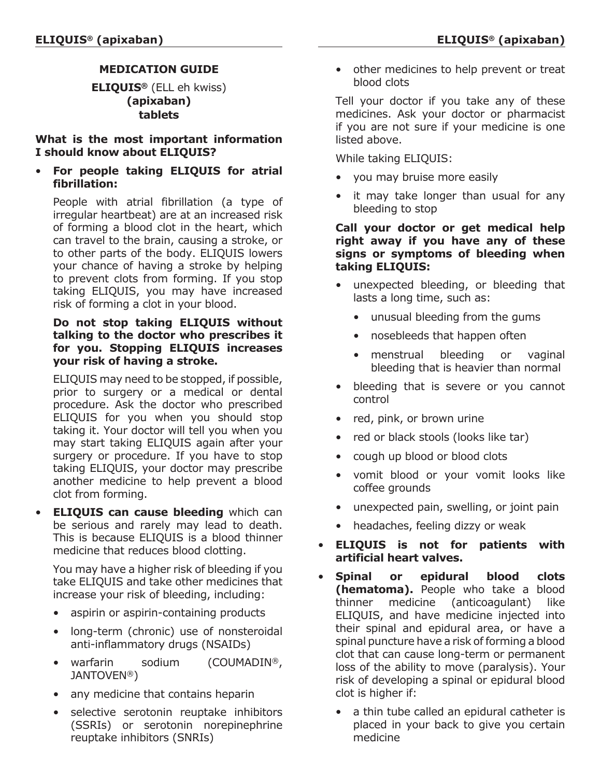# **MEDICATION GUIDE**

**ELIQUIS®** (ELL eh kwiss) **(apixaban) tablets**

**What is the most important information I should know about ELIQUIS?**

• **For people taking ELIQUIS for atrial fibrillation:**

People with atrial fibrillation (a type of irregular heartbeat) are at an increased risk of forming a blood clot in the heart, which can travel to the brain, causing a stroke, or to other parts of the body. ELIQUIS lowers your chance of having a stroke by helping to prevent clots from forming. If you stop taking ELIQUIS, you may have increased risk of forming a clot in your blood.

# **Do not stop taking ELIQUIS without talking to the doctor who prescribes it for you. Stopping ELIQUIS increases your risk of having a stroke.**

ELIQUIS may need to be stopped, if possible, prior to surgery or a medical or dental procedure. Ask the doctor who prescribed ELIQUIS for you when you should stop taking it. Your doctor will tell you when you may start taking ELIQUIS again after your surgery or procedure. If you have to stop taking ELIQUIS, your doctor may prescribe another medicine to help prevent a blood clot from forming.

• **ELIQUIS can cause bleeding** which can be serious and rarely may lead to death. This is because ELIQUIS is a blood thinner medicine that reduces blood clotting.

You may have a higher risk of bleeding if you take ELIQUIS and take other medicines that increase your risk of bleeding, including:

- aspirin or aspirin-containing products
- long-term (chronic) use of nonsteroidal anti-inflammatory drugs (NSAIDs)
- warfarin sodium (COUMADIN®, JANTOVEN®)
- any medicine that contains heparin
- selective serotonin reuptake inhibitors (SSRIs) or serotonin norepinephrine reuptake inhibitors (SNRIs)

• other medicines to help prevent or treat blood clots

Tell your doctor if you take any of these medicines. Ask your doctor or pharmacist if you are not sure if your medicine is one listed above.

While taking ELIQUIS:

- you may bruise more easily
- it may take longer than usual for any bleeding to stop

# **Call your doctor or get medical help right away if you have any of these signs or symptoms of bleeding when taking ELIQUIS:**

- unexpected bleeding, or bleeding that lasts a long time, such as:
	- unusual bleeding from the gums
	- nosebleeds that happen often
	- menstrual bleeding or vaginal bleeding that is heavier than normal
- bleeding that is severe or you cannot control
- red, pink, or brown urine
- red or black stools (looks like tar)
- cough up blood or blood clots
- vomit blood or your vomit looks like coffee grounds
- unexpected pain, swelling, or joint pain
- headaches, feeling dizzy or weak
- **ELIQUIS is not for patients with artificial heart valves.**
- **Spinal or epidural blood clots (hematoma).** People who take a blood thinner medicine (anticoagulant) like ELIQUIS, and have medicine injected into their spinal and epidural area, or have a spinal puncture have a risk of forming a blood clot that can cause long-term or permanent loss of the ability to move (paralysis). Your risk of developing a spinal or epidural blood clot is higher if:
	- a thin tube called an epidural catheter is placed in your back to give you certain medicine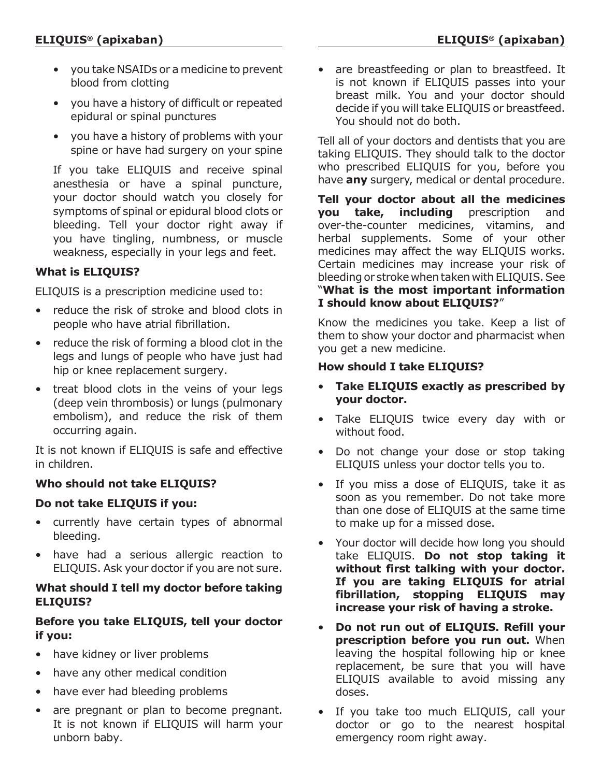- you take NSAIDs or a medicine to prevent blood from clotting
- you have a history of difficult or repeated epidural or spinal punctures
- you have a history of problems with your spine or have had surgery on your spine

If you take ELIQUIS and receive spinal anesthesia or have a spinal puncture, your doctor should watch you closely for symptoms of spinal or epidural blood clots or bleeding. Tell your doctor right away if you have tingling, numbness, or muscle weakness, especially in your legs and feet.

# **What is ELIQUIS?**

ELIQUIS is a prescription medicine used to:

- reduce the risk of stroke and blood clots in people who have atrial fibrillation.
- reduce the risk of forming a blood clot in the legs and lungs of people who have just had hip or knee replacement surgery.
- treat blood clots in the veins of your legs (deep vein thrombosis) or lungs (pulmonary embolism), and reduce the risk of them occurring again.

It is not known if ELIQUIS is safe and effective in children.

# **Who should not take ELIQUIS?**

# **Do not take ELIQUIS if you:**

- currently have certain types of abnormal bleeding.
- have had a serious allergic reaction to ELIQUIS. Ask your doctor if you are not sure.

# **What should I tell my doctor before taking ELIQUIS?**

# **Before you take ELIQUIS, tell your doctor if you:**

- have kidney or liver problems
- have any other medical condition
- have ever had bleeding problems
- are pregnant or plan to become pregnant. It is not known if ELIQUIS will harm your unborn baby.

• are breastfeeding or plan to breastfeed. It is not known if ELIQUIS passes into your breast milk. You and your doctor should decide if you will take ELIQUIS or breastfeed. You should not do both.

Tell all of your doctors and dentists that you are taking ELIQUIS. They should talk to the doctor who prescribed ELIQUIS for you, before you have **any** surgery, medical or dental procedure.

**Tell your doctor about all the medicines you take, including** prescription and over-the-counter medicines, vitamins, and herbal supplements. Some of your other medicines may affect the way ELIQUIS works. Certain medicines may increase your risk of bleeding or stroke when taken with ELIQUIS. See "**What is the most important information I should know about ELIQUIS?**"

Know the medicines you take. Keep a list of them to show your doctor and pharmacist when you get a new medicine.

# **How should I take ELIQUIS?**

- **Take ELIQUIS exactly as prescribed by your doctor.**
- Take ELIQUIS twice every day with or without food.
- Do not change your dose or stop taking ELIQUIS unless your doctor tells you to.
- If you miss a dose of ELIQUIS, take it as soon as you remember. Do not take more than one dose of ELIQUIS at the same time to make up for a missed dose.
- Your doctor will decide how long you should take ELIQUIS. **Do not stop taking it without first talking with your doctor. If you are taking ELIQUIS for atrial fibrillation, stopping ELIQUIS may increase your risk of having a stroke.**
- **Do not run out of ELIQUIS. Refill your prescription before you run out.** When leaving the hospital following hip or knee replacement, be sure that you will have ELIQUIS available to avoid missing any doses.
- If you take too much ELIQUIS, call your doctor or go to the nearest hospital emergency room right away.